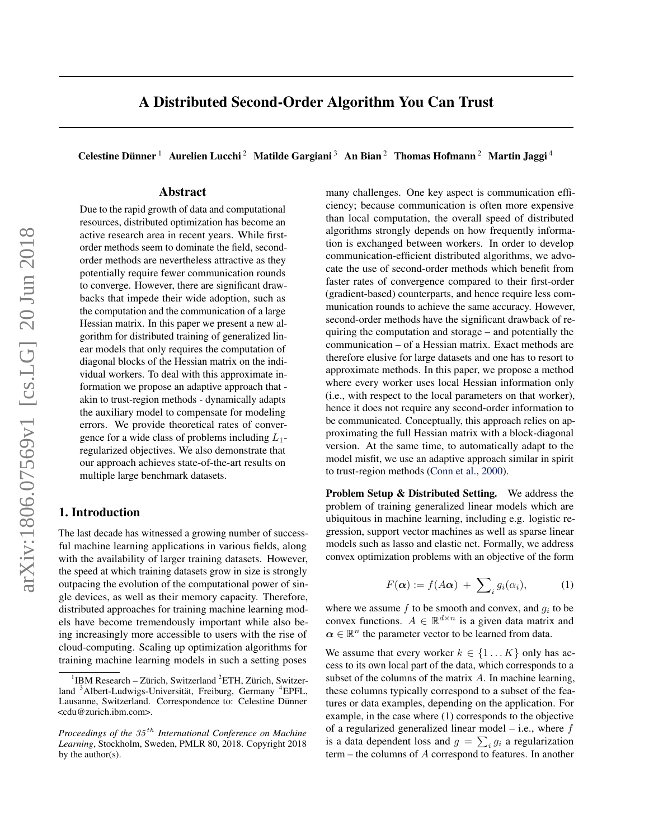<span id="page-0-0"></span>Celestine Dünner<sup>1</sup> Aurelien Lucchi<sup>2</sup> Matilde Gargiani<sup>3</sup> An Bian<sup>2</sup> Thomas Hofmann<sup>2</sup> Martin Jaggi<sup>4</sup>

# Abstract

Due to the rapid growth of data and computational resources, distributed optimization has become an active research area in recent years. While firstorder methods seem to dominate the field, secondorder methods are nevertheless attractive as they potentially require fewer communication rounds to converge. However, there are significant drawbacks that impede their wide adoption, such as the computation and the communication of a large Hessian matrix. In this paper we present a new algorithm for distributed training of generalized linear models that only requires the computation of diagonal blocks of the Hessian matrix on the individual workers. To deal with this approximate information we propose an adaptive approach that akin to trust-region methods - dynamically adapts the auxiliary model to compensate for modeling errors. We provide theoretical rates of convergence for a wide class of problems including  $L_1$ regularized objectives. We also demonstrate that our approach achieves state-of-the-art results on multiple large benchmark datasets.

# 1. Introduction

The last decade has witnessed a growing number of successful machine learning applications in various fields, along with the availability of larger training datasets. However, the speed at which training datasets grow in size is strongly outpacing the evolution of the computational power of single devices, as well as their memory capacity. Therefore, distributed approaches for training machine learning models have become tremendously important while also being increasingly more accessible to users with the rise of cloud-computing. Scaling up optimization algorithms for training machine learning models in such a setting poses

many challenges. One key aspect is communication efficiency; because communication is often more expensive than local computation, the overall speed of distributed algorithms strongly depends on how frequently information is exchanged between workers. In order to develop communication-efficient distributed algorithms, we advocate the use of second-order methods which benefit from faster rates of convergence compared to their first-order (gradient-based) counterparts, and hence require less communication rounds to achieve the same accuracy. However, second-order methods have the significant drawback of requiring the computation and storage – and potentially the communication – of a Hessian matrix. Exact methods are therefore elusive for large datasets and one has to resort to approximate methods. In this paper, we propose a method where every worker uses local Hessian information only (i.e., with respect to the local parameters on that worker), hence it does not require any second-order information to be communicated. Conceptually, this approach relies on approximating the full Hessian matrix with a block-diagonal version. At the same time, to automatically adapt to the model misfit, we use an adaptive approach similar in spirit to trust-region methods [\(Conn et al.,](#page-8-0) [2000\)](#page-8-0).

Problem Setup & Distributed Setting. We address the problem of training generalized linear models which are ubiquitous in machine learning, including e.g. logistic regression, support vector machines as well as sparse linear models such as lasso and elastic net. Formally, we address convex optimization problems with an objective of the form

$$
F(\alpha) := f(A\alpha) + \sum_{i} g_i(\alpha_i), \qquad (1)
$$

where we assume  $f$  to be smooth and convex, and  $g_i$  to be convex functions.  $A \in \mathbb{R}^{d \times n}$  is a given data matrix and  $\alpha \in \mathbb{R}^n$  the parameter vector to be learned from data.

We assume that every worker  $k \in \{1...K\}$  only has access to its own local part of the data, which corresponds to a subset of the columns of the matrix A. In machine learning, these columns typically correspond to a subset of the features or data examples, depending on the application. For example, in the case where (1) corresponds to the objective of a regularized generalized linear model  $-$  i.e., where  $f$ is a data dependent loss and  $g = \sum_i g_i$  a regularization term – the columns of A correspond to features. In another

<sup>&</sup>lt;sup>1</sup>IBM Research - Zürich, Switzerland <sup>2</sup>ETH, Zürich, Switzerland <sup>3</sup>Albert-Ludwigs-Universität, Freiburg, Germany <sup>4</sup>EPFL, Lausanne, Switzerland. Correspondence to: Celestine Dünner <cdu@zurich.ibm.com>.

*Proceedings of the* 35 th *International Conference on Machine Learning*, Stockholm, Sweden, PMLR 80, 2018. Copyright 2018 by the author(s).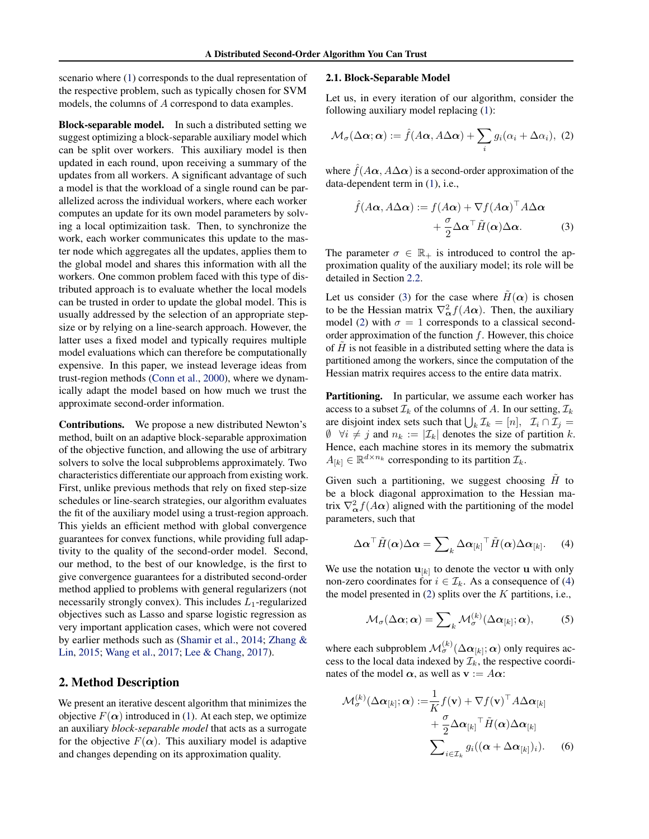<span id="page-1-0"></span>scenario where [\(1\)](#page-0-0) corresponds to the dual representation of the respective problem, such as typically chosen for SVM models, the columns of A correspond to data examples.

Block-separable model. In such a distributed setting we suggest optimizing a block-separable auxiliary model which can be split over workers. This auxiliary model is then updated in each round, upon receiving a summary of the updates from all workers. A significant advantage of such a model is that the workload of a single round can be parallelized across the individual workers, where each worker computes an update for its own model parameters by solving a local optimizaition task. Then, to synchronize the work, each worker communicates this update to the master node which aggregates all the updates, applies them to the global model and shares this information with all the workers. One common problem faced with this type of distributed approach is to evaluate whether the local models can be trusted in order to update the global model. This is usually addressed by the selection of an appropriate stepsize or by relying on a line-search approach. However, the latter uses a fixed model and typically requires multiple model evaluations which can therefore be computationally expensive. In this paper, we instead leverage ideas from trust-region methods [\(Conn et al.,](#page-8-0) [2000\)](#page-8-0), where we dynamically adapt the model based on how much we trust the approximate second-order information.

Contributions. We propose a new distributed Newton's method, built on an adaptive block-separable approximation of the objective function, and allowing the use of arbitrary solvers to solve the local subproblems approximately. Two characteristics differentiate our approach from existing work. First, unlike previous methods that rely on fixed step-size schedules or line-search strategies, our algorithm evaluates the fit of the auxiliary model using a trust-region approach. This yields an efficient method with global convergence guarantees for convex functions, while providing full adaptivity to the quality of the second-order model. Second, our method, to the best of our knowledge, is the first to give convergence guarantees for a distributed second-order method applied to problems with general regularizers (not necessarily strongly convex). This includes  $L_1$ -regularized objectives such as Lasso and sparse logistic regression as very important application cases, which were not covered by earlier methods such as [\(Shamir et al.,](#page-8-0) [2014;](#page-8-0) [Zhang &](#page-9-0) [Lin,](#page-9-0) [2015;](#page-9-0) [Wang et al.,](#page-8-0) [2017;](#page-8-0) [Lee & Chang,](#page-8-0) [2017\)](#page-8-0).

# 2. Method Description

We present an iterative descent algorithm that minimizes the objective  $F(\alpha)$  introduced in [\(1\)](#page-0-0). At each step, we optimize an auxiliary *block-separable model* that acts as a surrogate for the objective  $F(\alpha)$ . This auxiliary model is adaptive and changes depending on its approximation quality.

## 2.1. Block-Separable Model

Let us, in every iteration of our algorithm, consider the following auxiliary model replacing [\(1\)](#page-0-0):

$$
\mathcal{M}_{\sigma}(\Delta \alpha; \alpha) := \hat{f}(A\alpha, A\Delta \alpha) + \sum_{i} g_i(\alpha_i + \Delta \alpha_i), \tag{2}
$$

where  $\hat{f}(A\alpha, A\Delta\alpha)$  is a second-order approximation of the data-dependent term in [\(1\)](#page-0-0), i.e.,

$$
\hat{f}(A\alpha, A\Delta\alpha) := f(A\alpha) + \nabla f(A\alpha)^{\top} A\Delta\alpha \n+ \frac{\sigma}{2} \Delta\alpha^{\top} \tilde{H}(\alpha) \Delta\alpha.
$$
\n(3)

The parameter  $\sigma \in \mathbb{R}_+$  is introduced to control the approximation quality of the auxiliary model; its role will be detailed in Section [2.2.](#page-2-0)

Let us consider (3) for the case where  $H(\alpha)$  is chosen to be the Hessian matrix  $\nabla_{\alpha}^2 f(A\alpha)$ . Then, the auxiliary model (2) with  $\sigma = 1$  corresponds to a classical secondorder approximation of the function  $f$ . However, this choice of  $\hat{H}$  is not feasible in a distributed setting where the data is partitioned among the workers, since the computation of the Hessian matrix requires access to the entire data matrix.

Partitioning. In particular, we assume each worker has access to a subset  $\mathcal{I}_k$  of the columns of A. In our setting,  $\mathcal{I}_k$ are disjoint index sets such that  $\bigcup_k \mathcal{I}_k = [n], \mathcal{I}_i \cap \mathcal{I}_j =$  $\emptyset$   $\forall i \neq j$  and  $n_k := |\mathcal{I}_k|$  denotes the size of partition k. Hence, each machine stores in its memory the submatrix  $A_{[k]} \in \mathbb{R}^{d \times n_k}$  corresponding to its partition  $\mathcal{I}_k$ .

Given such a partitioning, we suggest choosing  $\tilde{H}$  to be a block diagonal approximation to the Hessian matrix  $\nabla^2_{\alpha} f(A\alpha)$  aligned with the partitioning of the model parameters, such that

$$
\Delta \alpha^{\top} \tilde{H}(\alpha) \Delta \alpha = \sum_{k} \Delta \alpha_{[k]}^{\top} \tilde{H}(\alpha) \Delta \alpha_{[k]}.
$$
 (4)

We use the notation  $\mathbf{u}_{[k]}$  to denote the vector u with only non-zero coordinates for  $i \in \mathcal{I}_k$ . As a consequence of (4) the model presented in  $(2)$  splits over the K partitions, i.e.,

$$
\mathcal{M}_{\sigma}(\Delta \alpha; \alpha) = \sum_{k} \mathcal{M}_{\sigma}^{(k)}(\Delta \alpha_{[k]}; \alpha), \quad (5)
$$

where each subproblem  $\mathcal{M}_{\sigma}^{(k)}(\Delta\bm{\alpha}_{[k]};\bm{\alpha})$  only requires access to the local data indexed by  $\mathcal{I}_k$ , the respective coordinates of the model  $\alpha$ , as well as  $\mathbf{v} := A\alpha$ :

$$
\mathcal{M}_{\sigma}^{(k)}(\Delta \alpha_{[k]}; \alpha) := \frac{1}{K} f(\mathbf{v}) + \nabla f(\mathbf{v})^{\top} A \Delta \alpha_{[k]} \n+ \frac{\sigma}{2} \Delta \alpha_{[k]}^{\top} \tilde{H}(\alpha) \Delta \alpha_{[k]} \n\sum_{i \in \mathcal{I}_k} g_i((\alpha + \Delta \alpha_{[k]})_i).
$$
\n(6)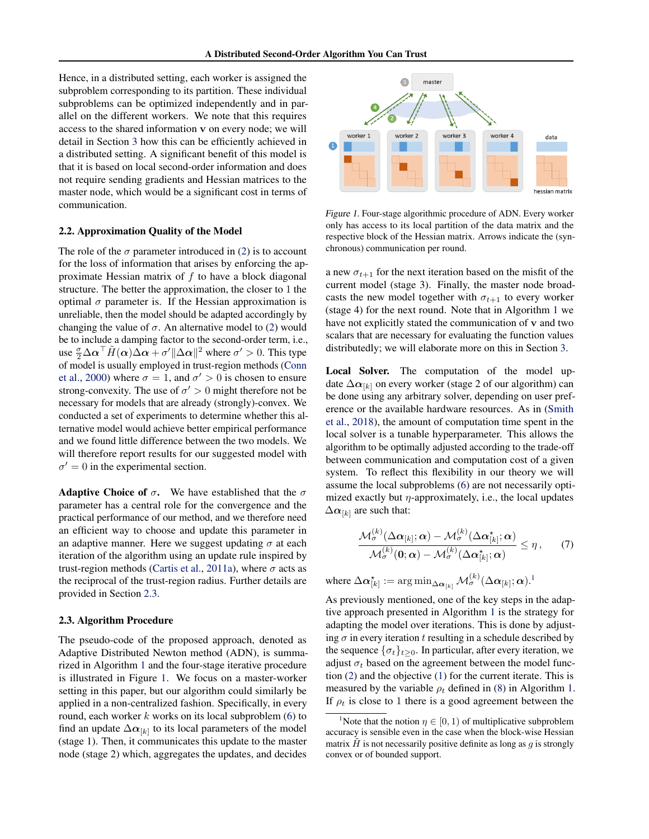<span id="page-2-0"></span>Hence, in a distributed setting, each worker is assigned the subproblem corresponding to its partition. These individual subproblems can be optimized independently and in parallel on the different workers. We note that this requires access to the shared information v on every node; we will detail in Section [3](#page-3-0) how this can be efficiently achieved in a distributed setting. A significant benefit of this model is that it is based on local second-order information and does not require sending gradients and Hessian matrices to the master node, which would be a significant cost in terms of communication.

## 2.2. Approximation Quality of the Model

The role of the  $\sigma$  parameter introduced in [\(2\)](#page-1-0) is to account for the loss of information that arises by enforcing the approximate Hessian matrix of f to have a block diagonal structure. The better the approximation, the closer to 1 the optimal  $\sigma$  parameter is. If the Hessian approximation is unreliable, then the model should be adapted accordingly by changing the value of  $\sigma$ . An alternative model to [\(2\)](#page-1-0) would be to include a damping factor to the second-order term, i.e., use  $\frac{\sigma}{2} \Delta \alpha^{\top} \tilde{H}(\alpha) \tilde{\Delta \alpha} + \sigma' \|\Delta \alpha\|^2$  where  $\sigma' > 0$ . This type of model is usually employed in trust-region methods [\(Conn](#page-8-0) [et al.,](#page-8-0) [2000\)](#page-8-0) where  $\sigma = 1$ , and  $\sigma' > 0$  is chosen to ensure strong-convexity. The use of  $\sigma' > 0$  might therefore not be necessary for models that are already (strongly)-convex. We conducted a set of experiments to determine whether this alternative model would achieve better empirical performance and we found little difference between the two models. We will therefore report results for our suggested model with  $\sigma' = 0$  in the experimental section.

**Adaptive Choice of**  $\sigma$ **.** We have established that the  $\sigma$ parameter has a central role for the convergence and the practical performance of our method, and we therefore need an efficient way to choose and update this parameter in an adaptive manner. Here we suggest updating  $\sigma$  at each iteration of the algorithm using an update rule inspired by trust-region methods [\(Cartis et al.,](#page-8-0) [2011a\)](#page-8-0), where  $\sigma$  acts as the reciprocal of the trust-region radius. Further details are provided in Section 2.3.

#### 2.3. Algorithm Procedure

The pseudo-code of the proposed approach, denoted as Adaptive Distributed Newton method (ADN), is summarized in Algorithm [1](#page-3-0) and the four-stage iterative procedure is illustrated in Figure 1. We focus on a master-worker setting in this paper, but our algorithm could similarly be applied in a non-centralized fashion. Specifically, in every round, each worker  $k$  works on its local subproblem  $(6)$  to find an update  $\Delta \alpha_{[k]}$  to its local parameters of the model (stage 1). Then, it communicates this update to the master node (stage 2) which, aggregates the updates, and decides



Figure 1. Four-stage algorithmic procedure of ADN. Every worker only has access to its local partition of the data matrix and the respective block of the Hessian matrix. Arrows indicate the (synchronous) communication per round.

a new  $\sigma_{t+1}$  for the next iteration based on the misfit of the current model (stage 3). Finally, the master node broadcasts the new model together with  $\sigma_{t+1}$  to every worker (stage 4) for the next round. Note that in Algorithm [1](#page-3-0) we have not explicitly stated the communication of v and two scalars that are necessary for evaluating the function values distributedly; we will elaborate more on this in Section [3.](#page-3-0)

Local Solver. The computation of the model update  $\Delta \alpha_{[k]}$  on every worker (stage 2 of our algorithm) can be done using any arbitrary solver, depending on user preference or the available hardware resources. As in [\(Smith](#page-8-0) [et al.,](#page-8-0) [2018\)](#page-8-0), the amount of computation time spent in the local solver is a tunable hyperparameter. This allows the algorithm to be optimally adjusted according to the trade-off between communication and computation cost of a given system. To reflect this flexibility in our theory we will assume the local subproblems [\(6\)](#page-1-0) are not necessarily optimized exactly but  $\eta$ -approximately, i.e., the local updates  $\Delta \alpha_{[k]}$  are such that:

$$
\frac{\mathcal{M}_{\sigma}^{(k)}(\Delta \boldsymbol{\alpha}_{[k]};\boldsymbol{\alpha}) - \mathcal{M}_{\sigma}^{(k)}(\Delta \boldsymbol{\alpha}_{[k]}^{\star};\boldsymbol{\alpha})}{\mathcal{M}_{\sigma}^{(k)}(\boldsymbol{0};\boldsymbol{\alpha}) - \mathcal{M}_{\sigma}^{(k)}(\Delta \boldsymbol{\alpha}_{[k]}^{\star};\boldsymbol{\alpha})} \leq \eta, \qquad (7)
$$

where  $\Delta \bm \alpha_{[k]}^\star := \argmin_{\Delta \bm \alpha_{[k]}} \mathcal{M}_\sigma^{(k)}(\Delta \bm \alpha_{[k]};\bm \alpha).^1$ 

As previously mentioned, one of the key steps in the adaptive approach presented in Algorithm [1](#page-3-0) is the strategy for adapting the model over iterations. This is done by adjusting  $\sigma$  in every iteration t resulting in a schedule described by the sequence  $\{\sigma_t\}_{t>0}$ . In particular, after every iteration, we adjust  $\sigma_t$  based on the agreement between the model function [\(2\)](#page-1-0) and the objective [\(1\)](#page-0-0) for the current iterate. This is measured by the variable  $\rho_t$  defined in [\(8\)](#page-3-0) in Algorithm [1.](#page-3-0) If  $\rho_t$  is close to 1 there is a good agreement between the

<sup>&</sup>lt;sup>1</sup>Note that the notion  $\eta \in [0, 1)$  of multiplicative subproblem accuracy is sensible even in the case when the block-wise Hessian matrix  $\hat{H}$  is not necessarily positive definite as long as q is strongly convex or of bounded support.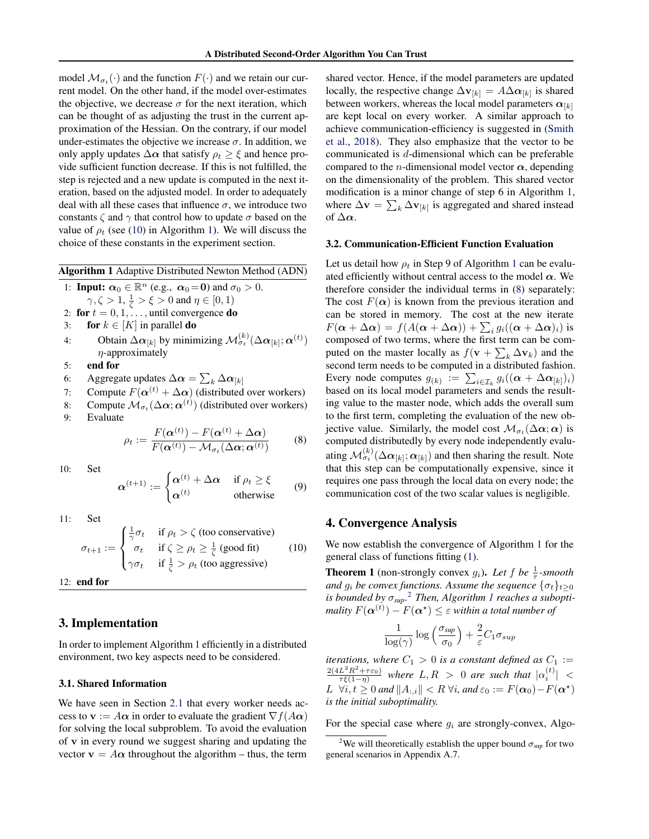<span id="page-3-0"></span>model  $\mathcal{M}_{\sigma_t}(\cdot)$  and the function  $F(\cdot)$  and we retain our current model. On the other hand, if the model over-estimates the objective, we decrease  $\sigma$  for the next iteration, which can be thought of as adjusting the trust in the current approximation of the Hessian. On the contrary, if our model under-estimates the objective we increase  $\sigma$ . In addition, we only apply updates  $\Delta \alpha$  that satisfy  $\rho_t \geq \xi$  and hence provide sufficient function decrease. If this is not fulfilled, the step is rejected and a new update is computed in the next iteration, based on the adjusted model. In order to adequately deal with all these cases that influence  $\sigma$ , we introduce two constants  $\zeta$  and  $\gamma$  that control how to update  $\sigma$  based on the value of  $\rho_t$  (see (10) in Algorithm 1). We will discuss the choice of these constants in the experiment section.

Algorithm 1 Adaptive Distributed Newton Method (ADN)

- 1: **Input:**  $\alpha_0 \in \mathbb{R}^n$  (e.g.,  $\alpha_0 = 0$ ) and  $\sigma_0 > 0$ .  $\gamma, \zeta > 1, \frac{1}{\zeta} > \xi > 0$  and  $\eta \in [0, 1)$
- 2: for  $t = 0, 1, \ldots$ , until convergence **do**
- 3: for  $k \in [K]$  in parallel do
- 4: Obtain  $\Delta \alpha_{[k]}$  by minimizing  $\mathcal{M}_{\sigma_t}^{(k)}(\Delta \alpha_{[k]}; \alpha^{(t)})$  $n$ -approximately
- 5: end for
- 6: Aggregate updates  $\Delta \boldsymbol{\alpha} = \sum_{k} \Delta \boldsymbol{\alpha}_{[k]}$
- 7: Compute  $F(\alpha^{(t)} + \Delta \alpha)$  (distributed over workers)
- 8: Compute  $\mathcal{M}_{\sigma_t}(\Delta \alpha; \alpha^{(t)})$  (distributed over workers)

9: Evaluate

$$
\rho_t := \frac{F(\boldsymbol{\alpha}^{(t)}) - F(\boldsymbol{\alpha}^{(t)} + \Delta \boldsymbol{\alpha})}{F(\boldsymbol{\alpha}^{(t)}) - \mathcal{M}_{\sigma_t}(\Delta \boldsymbol{\alpha}; \boldsymbol{\alpha}^{(t)})}
$$
(8)

10: Set

$$
\boldsymbol{\alpha}^{(t+1)} := \begin{cases} \boldsymbol{\alpha}^{(t)} + \Delta \boldsymbol{\alpha} & \text{if } \rho_t \ge \xi \\ \boldsymbol{\alpha}^{(t)} & \text{otherwise} \end{cases} \tag{9}
$$

11: Set

$$
\sigma_{t+1} := \begin{cases}\n\frac{1}{\gamma}\sigma_t & \text{if } \rho_t > \zeta \text{ (too conservative)} \\
\sigma_t & \text{if } \zeta \ge \rho_t \ge \frac{1}{\zeta} \text{ (good fit)} \\
\gamma\sigma_t & \text{if } \frac{1}{\zeta} > \rho_t \text{ (too aggressive)}\n\end{cases}
$$
\n(10)

12: end for

# 3. Implementation

In order to implement Algorithm 1 efficiently in a distributed environment, two key aspects need to be considered.

#### 3.1. Shared Information

We have seen in Section [2.1](#page-1-0) that every worker needs access to  $\mathbf{v} := A\boldsymbol{\alpha}$  in order to evaluate the gradient  $\nabla f(A\boldsymbol{\alpha})$ for solving the local subproblem. To avoid the evaluation of v in every round we suggest sharing and updating the vector  $\mathbf{v} = A\boldsymbol{\alpha}$  throughout the algorithm – thus, the term

shared vector. Hence, if the model parameters are updated locally, the respective change  $\Delta v_{[k]} = A \Delta \alpha_{[k]}$  is shared between workers, whereas the local model parameters  $\alpha_{[k]}$ are kept local on every worker. A similar approach to achieve communication-efficiency is suggested in [\(Smith](#page-8-0) [et al.,](#page-8-0) [2018\)](#page-8-0). They also emphasize that the vector to be communicated is d-dimensional which can be preferable compared to the *n*-dimensional model vector  $\alpha$ , depending on the dimensionality of the problem. This shared vector modification is a minor change of step 6 in Algorithm 1, where  $\Delta \mathbf{v} = \sum_{k} \Delta \mathbf{v}_{[k]}$  is aggregated and shared instead of  $\Delta \alpha$ .

## 3.2. Communication-Efficient Function Evaluation

Let us detail how  $\rho_t$  in Step 9 of Algorithm 1 can be evaluated efficiently without central access to the model  $\alpha$ . We therefore consider the individual terms in (8) separately: The cost  $F(\alpha)$  is known from the previous iteration and can be stored in memory. The cost at the new iterate  $F(\boldsymbol{\alpha} + \Delta \boldsymbol{\alpha}) = f(A(\boldsymbol{\alpha} + \Delta \boldsymbol{\alpha})) + \sum_i g_i((\boldsymbol{\alpha} + \Delta \boldsymbol{\alpha})_i)$  is composed of two terms, where the first term can be computed on the master locally as  $f(\mathbf{v} + \sum_k \Delta \mathbf{v}_k)$  and the second term needs to be computed in a distributed fashion. Every node computes  $g_{(k)} := \sum_{i \in \mathcal{I}_k} g_i((\boldsymbol{\alpha} + \Delta \boldsymbol{\alpha}_{[k]})_i)$ based on its local model parameters and sends the resulting value to the master node, which adds the overall sum to the first term, completing the evaluation of the new objective value. Similarly, the model cost  $\mathcal{M}_{\sigma_t}(\Delta \alpha; \alpha)$  is computed distributedly by every node independently evaluating  $\mathcal{M}^{(k)}_{\sigma_t}(\Delta\bm{\alpha}_{[k]};\bm{\alpha}_{[k]})$  and then sharing the result. Note that this step can be computationally expensive, since it requires one pass through the local data on every node; the communication cost of the two scalar values is negligible.

# 4. Convergence Analysis

We now establish the convergence of Algorithm 1 for the general class of functions fitting [\(1\)](#page-0-0).

**Theorem 1** (non-strongly convex  $g_i$ ). Let f be  $\frac{1}{\tau}$ -smooth *and*  $g_i$  *be convex functions. Assume the sequence*  $\{\sigma_t\}_{t\geq 0}$ *is bounded by* σ*sup.* <sup>2</sup> *Then, Algorithm 1 reaches a subopti*mality  $F(\boldsymbol{\alpha}^{(t)}) - F(\boldsymbol{\alpha}^\star) \leq \varepsilon$  within a total number of

$$
\frac{1}{\log(\gamma)} \log\left(\frac{\sigma_{\textit{sup}}}{\sigma_0}\right) + \frac{2}{\varepsilon} C_1 \sigma_{\textit{sup}}
$$

*iterations, where*  $C_1 > 0$  *is a constant defined as*  $C_1 :=$  $\frac{2(4L^2R^2+\tau\varepsilon_0)}{\tau\xi(1-\eta)}$  where  $L,R > 0$  are such that  $|\alpha_i^{(t)}| <$  $L \ \ \forall i,t \geq 0$  and  $\|A_{:,i}\| < R \ \forall i$ , and  $\varepsilon_0 := F(\boldsymbol{\alpha}_0) - F(\boldsymbol{\alpha}^\star)$ *is the initial suboptimality.*

For the special case where  $g_i$  are strongly-convex, Algo-

<sup>&</sup>lt;sup>2</sup>We will theoretically establish the upper bound  $\sigma_{\text{sup}}$  for two general scenarios in Appendix A.7.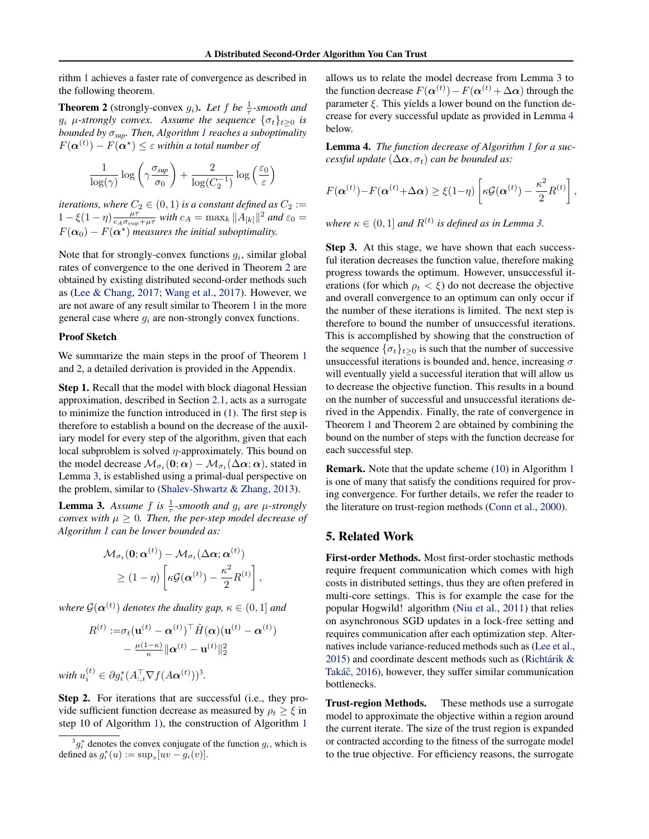<span id="page-4-0"></span>rithm [1](#page-3-0) achieves a faster rate of convergence as described in the following theorem.

**Theorem 2** (strongly-convex  $g_i$ ). Let  $f$  be  $\frac{1}{\tau}$ -smooth and  $g_i$   $\mu$ -strongly convex. Assume the sequence  $\{\sigma_t\}_{t\geq 0}$  is *bounded by* σ*sup. Then, Algorithm [1](#page-3-0) reaches a suboptimality*  $F(\boldsymbol{\alpha}^{(t)}) - F(\boldsymbol{\alpha}^{\star}) \leq \varepsilon$  within a total number of

$$
\frac{1}{\log(\gamma)} \log\left(\gamma \frac{\sigma_{\textit{sup}}}{\sigma_0}\right) + \frac{2}{\log(C_2^{-1})} \log\left(\frac{\varepsilon_0}{\varepsilon}\right)
$$

*iterations, where*  $C_2 \in (0,1)$  *is a constant defined as*  $C_2 :=$  $1 - \xi(1 - \eta) \frac{\mu \tau}{c_A \sigma_{\sup} + \mu \tau}$  with  $c_A = \max_k ||A_{[k]}||^2$  and  $\varepsilon_0 =$  $F(\boldsymbol{\alpha}_0) - F(\boldsymbol{\alpha}^*)$  measures the initial suboptimality.

Note that for strongly-convex functions  $g_i$ , similar global rates of convergence to the one derived in Theorem 2 are obtained by existing distributed second-order methods such as [\(Lee & Chang,](#page-8-0) [2017;](#page-8-0) [Wang et al.,](#page-8-0) [2017\)](#page-8-0). However, we are not aware of any result similar to Theorem [1](#page-3-0) in the more general case where  $g_i$  are non-strongly convex functions.

## Proof Sketch

We summarize the main steps in the proof of Theorem [1](#page-3-0) and 2, a detailed derivation is provided in the Appendix.

Step 1. Recall that the model with block diagonal Hessian approximation, described in Section [2.1,](#page-1-0) acts as a surrogate to minimize the function introduced in [\(1\)](#page-0-0). The first step is therefore to establish a bound on the decrease of the auxiliary model for every step of the algorithm, given that each local subproblem is solved  $\eta$ -approximately. This bound on the model decrease  $\mathcal{M}_{\sigma_t}(\mathbf{0};\boldsymbol{\alpha}) - \mathcal{M}_{\sigma_t}(\Delta \boldsymbol{\alpha};\boldsymbol{\alpha})$ , stated in Lemma 3, is established using a primal-dual perspective on the problem, similar to [\(Shalev-Shwartz & Zhang,](#page-8-0) [2013\)](#page-8-0).

**Lemma 3.** Assume f is  $\frac{1}{\tau}$ -smooth and  $g_i$  are  $\mu$ -strongly *convex with*  $\mu \geq 0$ *. Then, the per-step model decrease of Algorithm [1](#page-3-0) can be lower bounded as:*

$$
\mathcal{M}_{\sigma_t}(\mathbf{0}; \boldsymbol{\alpha}^{(t)}) - \mathcal{M}_{\sigma_t}(\Delta \boldsymbol{\alpha}; \boldsymbol{\alpha}^{(t)})
$$
  
\n
$$
\geq (1 - \eta) \left[ \kappa \mathcal{G}(\boldsymbol{\alpha}^{(t)}) - \frac{\kappa^2}{2} R^{(t)} \right],
$$

where  $\mathcal{G}(\boldsymbol{\alpha}^{(t)})$  denotes the duality gap,  $\kappa \in (0,1]$  and

$$
R^{(t)} := \sigma_t(\mathbf{u}^{(t)} - \boldsymbol{\alpha}^{(t)})^\top \tilde{H}(\boldsymbol{\alpha})(\mathbf{u}^{(t)} - \boldsymbol{\alpha}^{(t)}) - \frac{\mu(1-\kappa)}{\kappa} \|\boldsymbol{\alpha}^{(t)} - \mathbf{u}^{(t)}\|_2^2
$$

with  $u_i^{(t)} \in \partial g_i^*(A_{:,i}^\top \nabla f(A\boldsymbol{\alpha}^{(t)}))^3$ .

Step 2. For iterations that are successful (i.e., they provide sufficient function decrease as measured by  $\rho_t \geq \xi$  in step 10 of Algorithm [1\)](#page-3-0), the construction of Algorithm [1](#page-3-0)

allows us to relate the model decrease from Lemma 3 to the function decrease  $F(\alpha^{(t)}) - F(\alpha^{(t)} + \Delta \alpha)$  through the parameter  $\xi$ . This yields a lower bound on the function decrease for every successful update as provided in Lemma 4 below.

Lemma 4. *The function decrease of Algorithm [1](#page-3-0) for a successful update*  $(\Delta \alpha, \sigma_t)$  *can be bounded as:* 

$$
F(\boldsymbol{\alpha}^{(t)}) - F(\boldsymbol{\alpha}^{(t)} + \Delta \boldsymbol{\alpha}) \geq \xi(1-\eta) \left[ \kappa \mathcal{G}(\boldsymbol{\alpha}^{(t)}) - \frac{\kappa^2}{2} R^{(t)} \right],
$$

where  $\kappa \in (0,1]$  and  $R^{(t)}$  is defined as in Lemma 3.

Step 3. At this stage, we have shown that each successful iteration decreases the function value, therefore making progress towards the optimum. However, unsuccessful iterations (for which  $\rho_t < \xi$ ) do not decrease the objective and overall convergence to an optimum can only occur if the number of these iterations is limited. The next step is therefore to bound the number of unsuccessful iterations. This is accomplished by showing that the construction of the sequence  $\{\sigma_t\}_{t>0}$  is such that the number of successive unsuccessful iterations is bounded and, hence, increasing  $\sigma$ will eventually yield a successful iteration that will allow us to decrease the objective function. This results in a bound on the number of successful and unsuccessful iterations derived in the Appendix. Finally, the rate of convergence in Theorem [1](#page-3-0) and Theorem 2 are obtained by combining the bound on the number of steps with the function decrease for each successful step.

Remark. Note that the update scheme [\(10\)](#page-3-0) in Algorithm [1](#page-3-0) is one of many that satisfy the conditions required for proving convergence. For further details, we refer the reader to the literature on trust-region methods [\(Conn et al.,](#page-8-0) [2000\)](#page-8-0).

# 5. Related Work

First-order Methods. Most first-order stochastic methods require frequent communication which comes with high costs in distributed settings, thus they are often prefered in multi-core settings. This is for example the case for the popular Hogwild! algorithm [\(Niu et al.,](#page-8-0) [2011\)](#page-8-0) that relies on asynchronous SGD updates in a lock-free setting and requires communication after each optimization step. Alternatives include variance-reduced methods such as [\(Lee et al.,](#page-8-0) [2015\)](#page-8-0) and coordinate descent methods such as [\(Richtárik &](#page-8-0) Takáč, [2016\)](#page-8-0), however, they suffer similar communication bottlenecks.

Trust-region Methods. These methods use a surrogate model to approximate the objective within a region around the current iterate. The size of the trust region is expanded or contracted according to the fitness of the surrogate model to the true objective. For efficiency reasons, the surrogate

 ${}^3g_i^*$  denotes the convex conjugate of the function  $g_i$ , which is defined as  $g_i^*(u) := \sup_v [uv - g_i(v)].$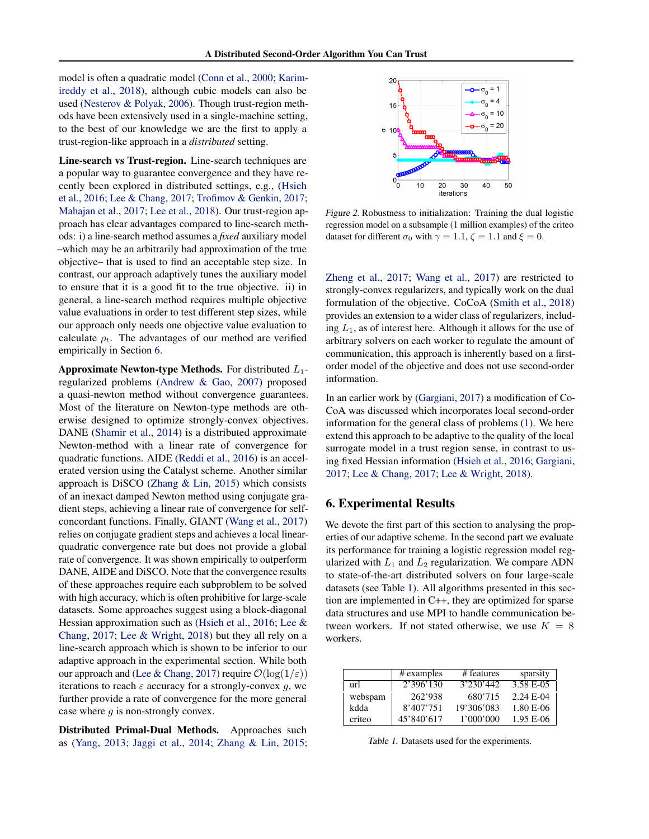<span id="page-5-0"></span>model is often a quadratic model [\(Conn et al.,](#page-8-0) [2000;](#page-8-0) [Karim](#page-8-0)[ireddy et al.,](#page-8-0) [2018\)](#page-8-0), although cubic models can also be used [\(Nesterov & Polyak,](#page-8-0) [2006\)](#page-8-0). Though trust-region methods have been extensively used in a single-machine setting, to the best of our knowledge we are the first to apply a trust-region-like approach in a *distributed* setting.

Line-search vs Trust-region. Line-search techniques are a popular way to guarantee convergence and they have recently been explored in distributed settings, e.g., [\(Hsieh](#page-8-0) [et al.,](#page-8-0) [2016;](#page-8-0) [Lee & Chang,](#page-8-0) [2017;](#page-8-0) [Trofimov & Genkin,](#page-8-0) [2017;](#page-8-0) [Mahajan et al.,](#page-8-0) [2017;](#page-8-0) [Lee et al.,](#page-8-0) [2018\)](#page-8-0). Our trust-region approach has clear advantages compared to line-search methods: i) a line-search method assumes a *fixed* auxiliary model –which may be an arbitrarily bad approximation of the true objective– that is used to find an acceptable step size. In contrast, our approach adaptively tunes the auxiliary model to ensure that it is a good fit to the true objective. ii) in general, a line-search method requires multiple objective value evaluations in order to test different step sizes, while our approach only needs one objective value evaluation to calculate  $\rho_t$ . The advantages of our method are verified empirically in Section 6.

**Approximate Newton-type Methods.** For distributed  $L_1$ regularized problems [\(Andrew & Gao,](#page-8-0) [2007\)](#page-8-0) proposed a quasi-newton method without convergence guarantees. Most of the literature on Newton-type methods are otherwise designed to optimize strongly-convex objectives. DANE [\(Shamir et al.,](#page-8-0) [2014\)](#page-8-0) is a distributed approximate Newton-method with a linear rate of convergence for quadratic functions. AIDE [\(Reddi et al.,](#page-8-0) [2016\)](#page-8-0) is an accelerated version using the Catalyst scheme. Another similar approach is DiSCO [\(Zhang & Lin,](#page-9-0) [2015\)](#page-9-0) which consists of an inexact damped Newton method using conjugate gradient steps, achieving a linear rate of convergence for selfconcordant functions. Finally, GIANT [\(Wang et al.,](#page-8-0) [2017\)](#page-8-0) relies on conjugate gradient steps and achieves a local linearquadratic convergence rate but does not provide a global rate of convergence. It was shown empirically to outperform DANE, AIDE and DiSCO. Note that the convergence results of these approaches require each subproblem to be solved with high accuracy, which is often prohibitive for large-scale datasets. Some approaches suggest using a block-diagonal Hessian approximation such as [\(Hsieh et al.,](#page-8-0) [2016;](#page-8-0) [Lee &](#page-8-0) [Chang,](#page-8-0) [2017;](#page-8-0) [Lee & Wright,](#page-8-0) [2018\)](#page-8-0) but they all rely on a line-search approach which is shown to be inferior to our adaptive approach in the experimental section. While both our approach and [\(Lee & Chang,](#page-8-0) [2017\)](#page-8-0) require  $\mathcal{O}(\log(1/\varepsilon))$ iterations to reach  $\varepsilon$  accuracy for a strongly-convex g, we further provide a rate of convergence for the more general case where  $g$  is non-strongly convex.

Distributed Primal-Dual Methods. Approaches such as [\(Yang,](#page-8-0) [2013;](#page-8-0) [Jaggi et al.,](#page-8-0) [2014;](#page-8-0) [Zhang & Lin,](#page-9-0) [2015;](#page-9-0)



Figure 2. Robustness to initialization: Training the dual logistic regression model on a subsample (1 million examples) of the criteo dataset for different  $\sigma_0$  with  $\gamma = 1.1$ ,  $\zeta = 1.1$  and  $\xi = 0$ .

[Zheng et al.,](#page-9-0) [2017;](#page-9-0) [Wang et al.,](#page-8-0) [2017\)](#page-8-0) are restricted to strongly-convex regularizers, and typically work on the dual formulation of the objective. CoCoA [\(Smith et al.,](#page-8-0) [2018\)](#page-8-0) provides an extension to a wider class of regularizers, including  $L_1$ , as of interest here. Although it allows for the use of arbitrary solvers on each worker to regulate the amount of communication, this approach is inherently based on a firstorder model of the objective and does not use second-order information.

In an earlier work by [\(Gargiani,](#page-8-0) [2017\)](#page-8-0) a modification of Co-CoA was discussed which incorporates local second-order information for the general class of problems [\(1\)](#page-0-0). We here extend this approach to be adaptive to the quality of the local surrogate model in a trust region sense, in contrast to using fixed Hessian information [\(Hsieh et al.,](#page-8-0) [2016;](#page-8-0) [Gargiani,](#page-8-0) [2017;](#page-8-0) [Lee & Chang,](#page-8-0) [2017;](#page-8-0) [Lee & Wright,](#page-8-0) [2018\)](#page-8-0).

# 6. Experimental Results

We devote the first part of this section to analysing the properties of our adaptive scheme. In the second part we evaluate its performance for training a logistic regression model regularized with  $L_1$  and  $L_2$  regularization. We compare ADN to state-of-the-art distributed solvers on four large-scale datasets (see Table 1). All algorithms presented in this section are implemented in C++, they are optimized for sparse data structures and use MPI to handle communication between workers. If not stated otherwise, we use  $K = 8$ workers.

|         | # examples | # features | sparsity  |
|---------|------------|------------|-----------|
| url     | 2'396'130  | 3'230'442  | 3.58 E-05 |
| webspam | 262'938    | 680'715    | 2.24 E-04 |
| kdda    | 8'407'751  | 19'306'083 | 1.80 E-06 |
| criteo  | 45'840'617 | 1'000'000  | 1.95 E-06 |

Table 1. Datasets used for the experiments.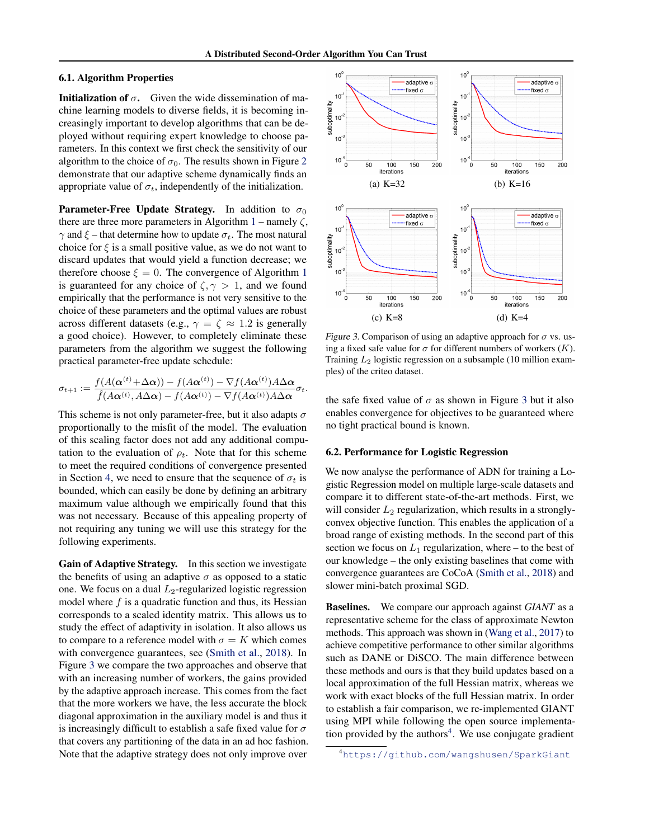## 6.1. Algorithm Properties

**Initialization of**  $\sigma$ **.** Given the wide dissemination of machine learning models to diverse fields, it is becoming increasingly important to develop algorithms that can be deployed without requiring expert knowledge to choose parameters. In this context we first check the sensitivity of our algorithm to the choice of  $\sigma_0$ . The results shown in Figure [2](#page-5-0) demonstrate that our adaptive scheme dynamically finds an appropriate value of  $\sigma_t$ , independently of the initialization.

**Parameter-Free Update Strategy.** In addition to  $\sigma_0$ there are three more parameters in Algorithm [1](#page-3-0) – namely  $\zeta$ ,  $\gamma$  and  $\xi$  – that determine how to update  $\sigma_t$ . The most natural choice for  $\xi$  is a small positive value, as we do not want to discard updates that would yield a function decrease; we therefore choose  $\xi = 0$ . The convergence of Algorithm [1](#page-3-0) is guaranteed for any choice of  $\zeta$ ,  $\gamma > 1$ , and we found empirically that the performance is not very sensitive to the choice of these parameters and the optimal values are robust across different datasets (e.g.,  $\gamma = \zeta \approx 1.2$  is generally a good choice). However, to completely eliminate these parameters from the algorithm we suggest the following practical parameter-free update schedule:

$$
\sigma_{t+1} := \frac{f(A(\boldsymbol{\alpha}^{(t)} + \Delta \boldsymbol{\alpha})) - f(A\boldsymbol{\alpha}^{(t)}) - \nabla f(A\boldsymbol{\alpha}^{(t)})A\Delta \boldsymbol{\alpha}}{\hat{f}(A\boldsymbol{\alpha}^{(t)}, A\Delta \boldsymbol{\alpha}) - f(A\boldsymbol{\alpha}^{(t)}) - \nabla f(A\boldsymbol{\alpha}^{(t)})A\Delta \boldsymbol{\alpha}}\sigma_t.
$$

This scheme is not only parameter-free, but it also adapts  $\sigma$ proportionally to the misfit of the model. The evaluation of this scaling factor does not add any additional computation to the evaluation of  $\rho_t$ . Note that for this scheme to meet the required conditions of convergence presented in Section [4,](#page-3-0) we need to ensure that the sequence of  $\sigma_t$  is bounded, which can easily be done by defining an arbitrary maximum value although we empirically found that this was not necessary. Because of this appealing property of not requiring any tuning we will use this strategy for the following experiments.

Gain of Adaptive Strategy. In this section we investigate the benefits of using an adaptive  $\sigma$  as opposed to a static one. We focus on a dual  $L_2$ -regularized logistic regression model where  $f$  is a quadratic function and thus, its Hessian corresponds to a scaled identity matrix. This allows us to study the effect of adaptivity in isolation. It also allows us to compare to a reference model with  $\sigma = K$  which comes with convergence guarantees, see [\(Smith et al.,](#page-8-0) [2018\)](#page-8-0). In Figure 3 we compare the two approaches and observe that with an increasing number of workers, the gains provided by the adaptive approach increase. This comes from the fact that the more workers we have, the less accurate the block diagonal approximation in the auxiliary model is and thus it is increasingly difficult to establish a safe fixed value for  $\sigma$ that covers any partitioning of the data in an ad hoc fashion. Note that the adaptive strategy does not only improve over



Figure 3. Comparison of using an adaptive approach for  $\sigma$  vs. using a fixed safe value for  $\sigma$  for different numbers of workers  $(K)$ . Training  $L_2$  logistic regression on a subsample (10 million examples) of the criteo dataset.

the safe fixed value of  $\sigma$  as shown in Figure 3 but it also enables convergence for objectives to be guaranteed where no tight practical bound is known.

#### 6.2. Performance for Logistic Regression

We now analyse the performance of ADN for training a Logistic Regression model on multiple large-scale datasets and compare it to different state-of-the-art methods. First, we will consider  $L_2$  regularization, which results in a stronglyconvex objective function. This enables the application of a broad range of existing methods. In the second part of this section we focus on  $L_1$  regularization, where – to the best of our knowledge – the only existing baselines that come with convergence guarantees are CoCoA [\(Smith et al.,](#page-8-0) [2018\)](#page-8-0) and slower mini-batch proximal SGD.

Baselines. We compare our approach against *GIANT* as a representative scheme for the class of approximate Newton methods. This approach was shown in [\(Wang et al.,](#page-8-0) [2017\)](#page-8-0) to achieve competitive performance to other similar algorithms such as DANE or DiSCO. The main difference between these methods and ours is that they build updates based on a local approximation of the full Hessian matrix, whereas we work with exact blocks of the full Hessian matrix. In order to establish a fair comparison, we re-implemented GIANT using MPI while following the open source implementation provided by the authors $4$ . We use conjugate gradient

<sup>4</sup><https://github.com/wangshusen/SparkGiant>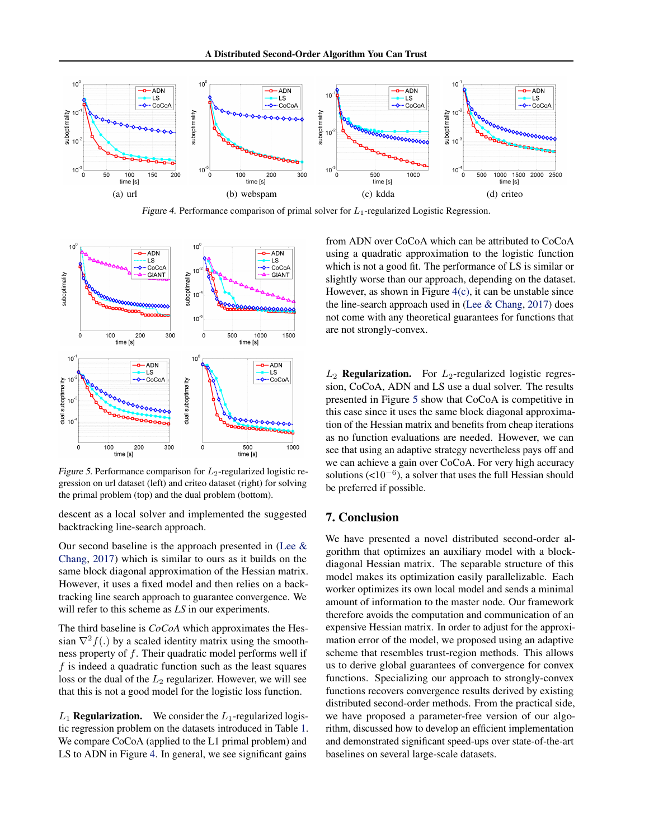

Figure 4. Performance comparison of primal solver for  $L_1$ -regularized Logistic Regression.



Figure 5. Performance comparison for  $L_2$ -regularized logistic regression on url dataset (left) and criteo dataset (right) for solving the primal problem (top) and the dual problem (bottom).

descent as a local solver and implemented the suggested backtracking line-search approach.

Our second baseline is the approach presented in (Lee  $\&$ [Chang,](#page-8-0) [2017\)](#page-8-0) which is similar to ours as it builds on the same block diagonal approximation of the Hessian matrix. However, it uses a fixed model and then relies on a backtracking line search approach to guarantee convergence. We will refer to this scheme as *LS* in our experiments.

The third baseline is *CoCoA* which approximates the Hessian  $\nabla^2 f(.)$  by a scaled identity matrix using the smoothness property of f. Their quadratic model performs well if  $f$  is indeed a quadratic function such as the least squares loss or the dual of the  $L_2$  regularizer. However, we will see that this is not a good model for the logistic loss function.

 $L_1$  **Regularization.** We consider the  $L_1$ -regularized logistic regression problem on the datasets introduced in Table [1.](#page-5-0) We compare CoCoA (applied to the L1 primal problem) and LS to ADN in Figure 4. In general, we see significant gains

from ADN over CoCoA which can be attributed to CoCoA using a quadratic approximation to the logistic function which is not a good fit. The performance of LS is similar or slightly worse than our approach, depending on the dataset. However, as shown in Figure 4(c), it can be unstable since the line-search approach used in [\(Lee & Chang,](#page-8-0) [2017\)](#page-8-0) does not come with any theoretical guarantees for functions that are not strongly-convex.

 $L_2$  **Regularization.** For  $L_2$ -regularized logistic regression, CoCoA, ADN and LS use a dual solver. The results presented in Figure 5 show that CoCoA is competitive in this case since it uses the same block diagonal approximation of the Hessian matrix and benefits from cheap iterations as no function evaluations are needed. However, we can see that using an adaptive strategy nevertheless pays off and we can achieve a gain over CoCoA. For very high accuracy solutions  $($ <10<sup>-6</sup>), a solver that uses the full Hessian should be preferred if possible.

# 7. Conclusion

We have presented a novel distributed second-order algorithm that optimizes an auxiliary model with a blockdiagonal Hessian matrix. The separable structure of this model makes its optimization easily parallelizable. Each worker optimizes its own local model and sends a minimal amount of information to the master node. Our framework therefore avoids the computation and communication of an expensive Hessian matrix. In order to adjust for the approximation error of the model, we proposed using an adaptive scheme that resembles trust-region methods. This allows us to derive global guarantees of convergence for convex functions. Specializing our approach to strongly-convex functions recovers convergence results derived by existing distributed second-order methods. From the practical side, we have proposed a parameter-free version of our algorithm, discussed how to develop an efficient implementation and demonstrated significant speed-ups over state-of-the-art baselines on several large-scale datasets.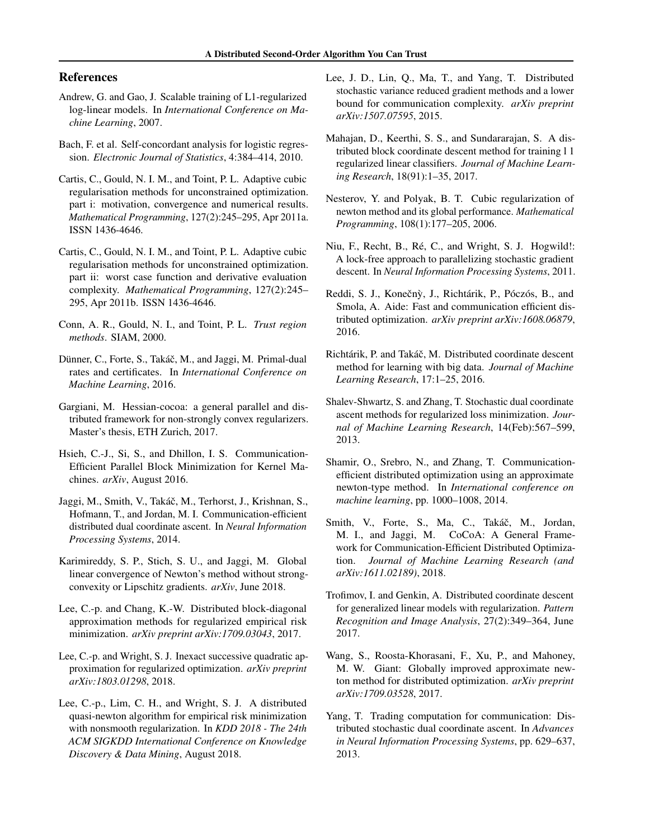# <span id="page-8-0"></span>References

- Andrew, G. and Gao, J. Scalable training of L1-regularized log-linear models. In *International Conference on Machine Learning*, 2007.
- Bach, F. et al. Self-concordant analysis for logistic regression. *Electronic Journal of Statistics*, 4:384–414, 2010.
- Cartis, C., Gould, N. I. M., and Toint, P. L. Adaptive cubic regularisation methods for unconstrained optimization. part i: motivation, convergence and numerical results. *Mathematical Programming*, 127(2):245–295, Apr 2011a. ISSN 1436-4646.
- Cartis, C., Gould, N. I. M., and Toint, P. L. Adaptive cubic regularisation methods for unconstrained optimization. part ii: worst case function and derivative evaluation complexity. *Mathematical Programming*, 127(2):245– 295, Apr 2011b. ISSN 1436-4646.
- Conn, A. R., Gould, N. I., and Toint, P. L. *Trust region methods*. SIAM, 2000.
- Dünner, C., Forte, S., Takáč, M., and Jaggi, M. Primal-dual rates and certificates. In *International Conference on Machine Learning*, 2016.
- Gargiani, M. Hessian-cocoa: a general parallel and distributed framework for non-strongly convex regularizers. Master's thesis, ETH Zurich, 2017.
- Hsieh, C.-J., Si, S., and Dhillon, I. S. Communication-Efficient Parallel Block Minimization for Kernel Machines. *arXiv*, August 2016.
- Jaggi, M., Smith, V., Takáč, M., Terhorst, J., Krishnan, S., Hofmann, T., and Jordan, M. I. Communication-efficient distributed dual coordinate ascent. In *Neural Information Processing Systems*, 2014.
- Karimireddy, S. P., Stich, S. U., and Jaggi, M. Global linear convergence of Newton's method without strongconvexity or Lipschitz gradients. *arXiv*, June 2018.
- Lee, C.-p. and Chang, K.-W. Distributed block-diagonal approximation methods for regularized empirical risk minimization. *arXiv preprint arXiv:1709.03043*, 2017.
- Lee, C.-p. and Wright, S. J. Inexact successive quadratic approximation for regularized optimization. *arXiv preprint arXiv:1803.01298*, 2018.
- Lee, C.-p., Lim, C. H., and Wright, S. J. A distributed quasi-newton algorithm for empirical risk minimization with nonsmooth regularization. In *KDD 2018 - The 24th ACM SIGKDD International Conference on Knowledge Discovery & Data Mining*, August 2018.
- Lee, J. D., Lin, Q., Ma, T., and Yang, T. Distributed stochastic variance reduced gradient methods and a lower bound for communication complexity. *arXiv preprint arXiv:1507.07595*, 2015.
- Mahajan, D., Keerthi, S. S., and Sundararajan, S. A distributed block coordinate descent method for training l 1 regularized linear classifiers. *Journal of Machine Learning Research*, 18(91):1–35, 2017.
- Nesterov, Y. and Polyak, B. T. Cubic regularization of newton method and its global performance. *Mathematical Programming*, 108(1):177–205, 2006.
- Niu, F., Recht, B., Ré, C., and Wright, S. J. Hogwild!: A lock-free approach to parallelizing stochastic gradient descent. In *Neural Information Processing Systems*, 2011.
- Reddi, S. J., Konečnỳ, J., Richtárik, P., Póczós, B., and Smola, A. Aide: Fast and communication efficient distributed optimization. *arXiv preprint arXiv:1608.06879*, 2016.
- Richtárik, P. and Takáč, M. Distributed coordinate descent method for learning with big data. *Journal of Machine Learning Research*, 17:1–25, 2016.
- Shalev-Shwartz, S. and Zhang, T. Stochastic dual coordinate ascent methods for regularized loss minimization. *Journal of Machine Learning Research*, 14(Feb):567–599, 2013.
- Shamir, O., Srebro, N., and Zhang, T. Communicationefficient distributed optimization using an approximate newton-type method. In *International conference on machine learning*, pp. 1000–1008, 2014.
- Smith, V., Forte, S., Ma, C., Takáč, M., Jordan, M. I., and Jaggi, M. CoCoA: A General Framework for Communication-Efficient Distributed Optimization. *Journal of Machine Learning Research (and arXiv:1611.02189)*, 2018.
- Trofimov, I. and Genkin, A. Distributed coordinate descent for generalized linear models with regularization. *Pattern Recognition and Image Analysis*, 27(2):349–364, June 2017.
- Wang, S., Roosta-Khorasani, F., Xu, P., and Mahoney, M. W. Giant: Globally improved approximate newton method for distributed optimization. *arXiv preprint arXiv:1709.03528*, 2017.
- Yang, T. Trading computation for communication: Distributed stochastic dual coordinate ascent. In *Advances in Neural Information Processing Systems*, pp. 629–637, 2013.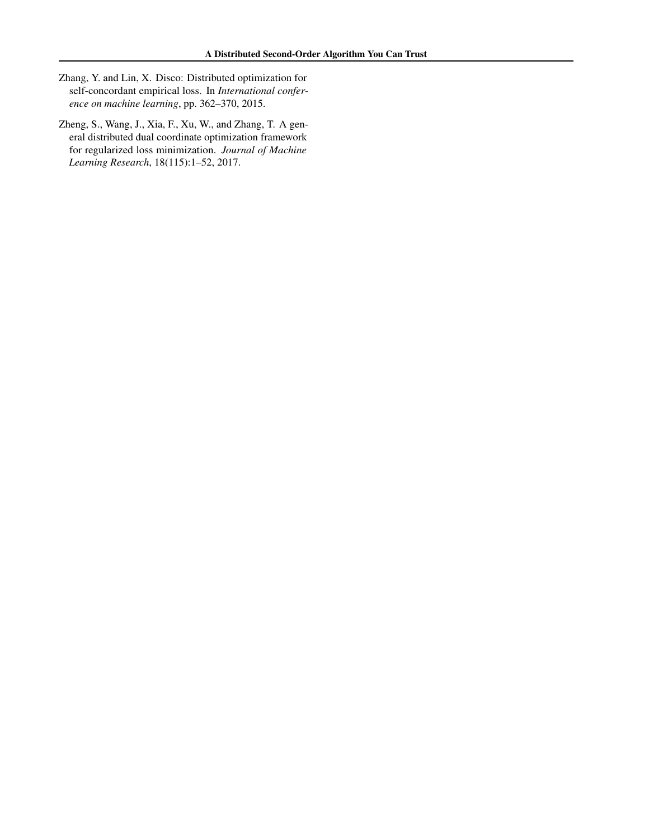- <span id="page-9-0"></span>Zhang, Y. and Lin, X. Disco: Distributed optimization for self-concordant empirical loss. In *International conference on machine learning*, pp. 362–370, 2015.
- Zheng, S., Wang, J., Xia, F., Xu, W., and Zhang, T. A general distributed dual coordinate optimization framework for regularized loss minimization. *Journal of Machine Learning Research*, 18(115):1–52, 2017.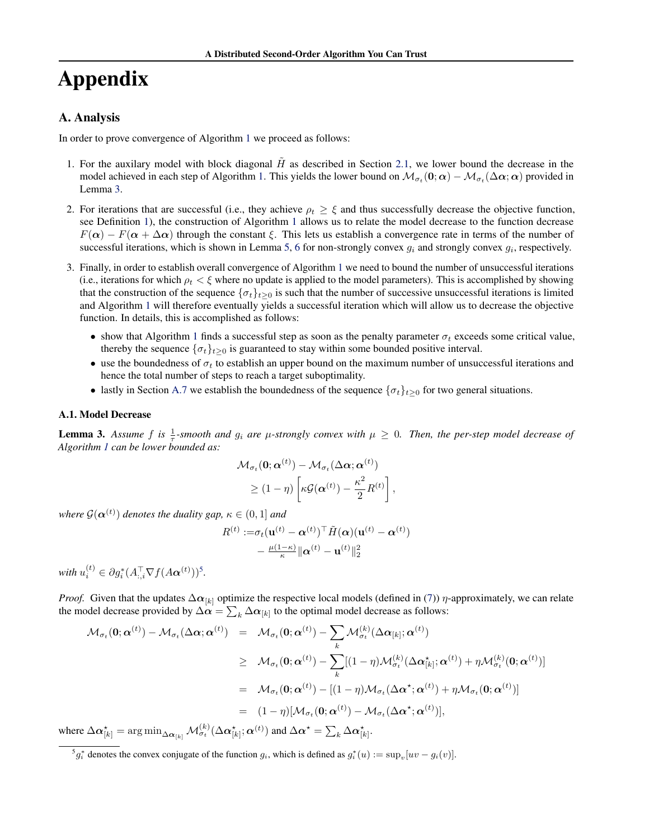# Appendix

# A. Analysis

In order to prove convergence of Algorithm [1](#page-3-0) we proceed as follows:

- 1. For the auxilary model with block diagonal  $\tilde{H}$  as described in Section [2.1,](#page-1-0) we lower bound the decrease in the model achieved in each step of Algorithm [1.](#page-3-0) This yields the lower bound on  $\mathcal{M}_{\sigma_t}(\mathbf{0};\bm{\alpha})-\mathcal{M}_{\sigma_t}(\Delta\bm{\alpha};\bm{\alpha})$  provided in Lemma [3.](#page-4-0)
- 2. For iterations that are successful (i.e., they achieve  $\rho_t \geq \xi$  and thus successfully decrease the objective function, see Definition [1\)](#page-12-0), the construction of Algorithm [1](#page-3-0) allows us to relate the model decrease to the function decrease  $F(\alpha) - F(\alpha + \Delta \alpha)$  through the constant  $\xi$ . This lets us establish a convergence rate in terms of the number of successful iterations, which is shown in Lemma [5,](#page-12-0) [6](#page-13-0) for non-strongly convex  $g_i$  and strongly convex  $g_i$ , respectively.
- 3. Finally, in order to establish overall convergence of Algorithm [1](#page-3-0) we need to bound the number of unsuccessful iterations (i.e., iterations for which  $\rho_t < \xi$  where no update is applied to the model parameters). This is accomplished by showing that the construction of the sequence  $\{\sigma_t\}_{t\geq 0}$  is such that the number of successive unsuccessful iterations is limited and Algorithm [1](#page-3-0) will therefore eventually yields a successful iteration which will allow us to decrease the objective function. In details, this is accomplished as follows:
	- show that Algorithm [1](#page-3-0) finds a successful step as soon as the penalty parameter  $\sigma_t$  exceeds some critical value, thereby the sequence  $\{\sigma_t\}_{t\geq 0}$  is guaranteed to stay within some bounded positive interval.
	- use the boundedness of  $\sigma_t$  to establish an upper bound on the maximum number of unsuccessful iterations and hence the total number of steps to reach a target suboptimality.
	- lastly in Section [A.7](#page-16-0) we establish the boundedness of the sequence  $\{\sigma_t\}_{t>0}$  for two general situations.

#### A.1. Model Decrease

**Lemma 3.** Assume f is  $\frac{1}{\tau}$ -smooth and  $g_i$  are  $\mu$ -strongly convex with  $\mu \ge 0$ . Then, the per-step model decrease of *Algorithm [1](#page-3-0) can be lower bounded as:*

$$
\mathcal{M}_{\sigma_t}(\mathbf{0}; \boldsymbol{\alpha}^{(t)}) - \mathcal{M}_{\sigma_t}(\Delta \boldsymbol{\alpha}; \boldsymbol{\alpha}^{(t)})
$$
  

$$
\geq (1 - \eta) \left[ \kappa \mathcal{G}(\boldsymbol{\alpha}^{(t)}) - \frac{\kappa^2}{2} R^{(t)} \right],
$$

where  $\mathcal{G}(\boldsymbol{\alpha}^{(t)})$  denotes the duality gap,  $\kappa \in (0,1]$  and

$$
\nonumber R^{(t)} :=& \sigma_t(\mathbf{u}^{(t)} - \boldsymbol{\alpha}^{(t)})^\top \tilde{H}(\boldsymbol{\alpha}) (\mathbf{u}^{(t)} - \boldsymbol{\alpha}^{(t)}) \\ - \frac{\mu(1-\kappa)}{\kappa}\|\boldsymbol{\alpha}^{(t)} - \mathbf{u}^{(t)}\|_2^2
$$

with  $u_i^{(t)} \in \partial g_i^*(A_{:,i}^\top \nabla f(A\boldsymbol{\alpha}^{(t)}))^5$ .

*Proof.* Given that the updates  $\Delta \alpha_{[k]}$  optimize the respective local models (defined in [\(7\)](#page-2-0))  $\eta$ -approximately, we can relate the model decrease provided by  $\Delta\alpha=\sum_k\Delta\alpha_{[k]}$  to the optimal model decrease as follows:

$$
\mathcal{M}_{\sigma_t}(\mathbf{0}; \boldsymbol{\alpha}^{(t)}) - \mathcal{M}_{\sigma_t}(\Delta \boldsymbol{\alpha}; \boldsymbol{\alpha}^{(t)}) = \mathcal{M}_{\sigma_t}(\mathbf{0}; \boldsymbol{\alpha}^{(t)}) - \sum_{k} \mathcal{M}_{\sigma_t}^{(k)}(\Delta \boldsymbol{\alpha}_{[k]}; \boldsymbol{\alpha}^{(t)})
$$
\n
$$
\geq \mathcal{M}_{\sigma_t}(\mathbf{0}; \boldsymbol{\alpha}^{(t)}) - \sum_{k} [(1 - \eta) \mathcal{M}_{\sigma_t}^{(k)}(\Delta \boldsymbol{\alpha}_{[k]}^{*}; \boldsymbol{\alpha}^{(t)}) + \eta \mathcal{M}_{\sigma_t}^{(k)}(\mathbf{0}; \boldsymbol{\alpha}^{(t)})]
$$
\n
$$
= \mathcal{M}_{\sigma_t}(\mathbf{0}; \boldsymbol{\alpha}^{(t)}) - [(1 - \eta) \mathcal{M}_{\sigma_t}(\Delta \boldsymbol{\alpha}^{*}; \boldsymbol{\alpha}^{(t)}) + \eta \mathcal{M}_{\sigma_t}(\mathbf{0}; \boldsymbol{\alpha}^{(t)})]
$$
\n
$$
= (1 - \eta) [\mathcal{M}_{\sigma_t}(\mathbf{0}; \boldsymbol{\alpha}^{(t)}) - \mathcal{M}_{\sigma_t}(\Delta \boldsymbol{\alpha}^{*}; \boldsymbol{\alpha}^{(t)})],
$$

where  $\Delta \alpha_{[k]}^{\star} = \arg \min_{\Delta \alpha_{[k]}} \mathcal{M}_{\sigma_t}^{(k)}(\Delta \alpha_{[k]}^{\star}; \alpha^{(t)})$  and  $\Delta \alpha^{\star} = \sum_k \Delta \alpha_{[k]}^{\star}$ .

 ${}^5g_i^*$  denotes the convex conjugate of the function  $g_i$ , which is defined as  $g_i^*(u) := \sup_v [uv - g_i(v)]$ .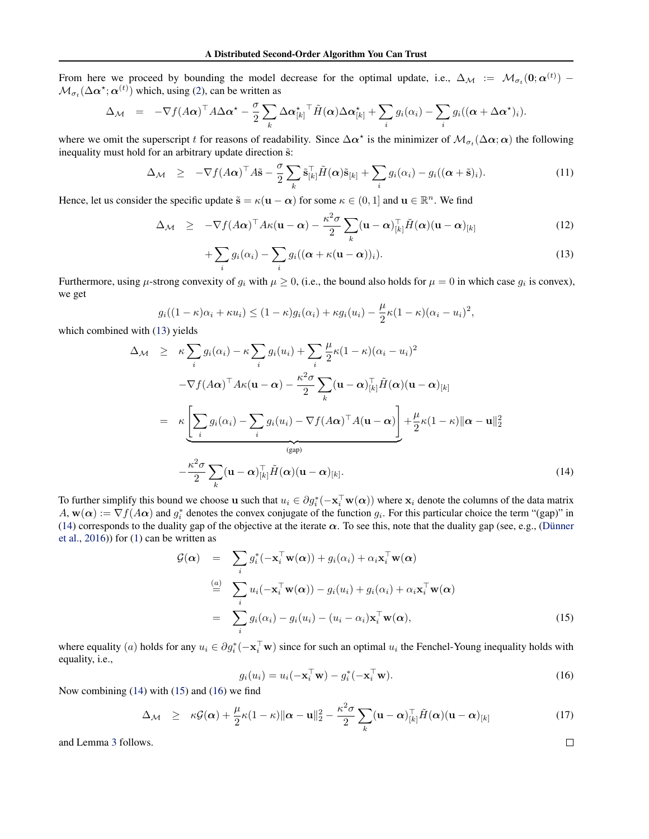From here we proceed by bounding the model decrease for the optimal update, i.e.,  $\Delta_{\mathcal{M}} := \mathcal{M}_{\sigma_t}(0; \alpha^{(t)})$  $\mathcal{M}_{\sigma_t}(\Delta \alpha^*; \alpha^{(t)})$  which, using [\(2\)](#page-1-0), can be written as

$$
\Delta_{\mathcal{M}} = -\nabla f(A\alpha)^{\top} A \Delta \alpha^{\star} - \frac{\sigma}{2} \sum_{k} \Delta \alpha_{[k]}^{\star}{}^{\top} \tilde{H}(\alpha) \Delta \alpha_{[k]}^{\star} + \sum_{i} g_i(\alpha_i) - \sum_{i} g_i((\alpha + \Delta \alpha^{\star})_i).
$$

where we omit the superscript t for reasons of readability. Since  $\Delta\alpha^*$  is the minimizer of  $\mathcal{M}_{\sigma_t}(\Delta\alpha;\alpha)$  the following inequality must hold for an arbitrary update direction  $\tilde{s}$ :

$$
\Delta_{\mathcal{M}} \geq -\nabla f(A\boldsymbol{\alpha})^{\top} A \tilde{\mathbf{s}} - \frac{\sigma}{2} \sum_{k} \tilde{\mathbf{s}}_{[k]}^{\top} \tilde{H}(\boldsymbol{\alpha}) \tilde{\mathbf{s}}_{[k]} + \sum_{i} g_i(\alpha_i) - g_i((\boldsymbol{\alpha} + \tilde{\mathbf{s}})_i). \tag{11}
$$

Hence, let us consider the specific update  $\tilde{\mathbf{s}} = \kappa(\mathbf{u} - \boldsymbol{\alpha})$  for some  $\kappa \in (0, 1]$  and  $\mathbf{u} \in \mathbb{R}^n$ . We find

$$
\Delta_{\mathcal{M}} \geq -\nabla f(A\alpha)^{\top} A \kappa (\mathbf{u} - \alpha) - \frac{\kappa^2 \sigma}{2} \sum_{k} (\mathbf{u} - \alpha)^{\top}_{[k]} \tilde{H}(\alpha) (\mathbf{u} - \alpha)_{[k]} \tag{12}
$$

$$
+\sum_{i} g_i(\alpha_i) - \sum_{i} g_i((\boldsymbol{\alpha} + \kappa(\mathbf{u} - \boldsymbol{\alpha}))_i).
$$
 (13)

Furthermore, using  $\mu$ -strong convexity of  $g_i$  with  $\mu \ge 0$ , (i.e., the bound also holds for  $\mu = 0$  in which case  $g_i$  is convex), we get

$$
g_i((1 - \kappa)\alpha_i + \kappa u_i) \le (1 - \kappa)g_i(\alpha_i) + \kappa g_i(u_i) - \frac{\mu}{2}\kappa(1 - \kappa)(\alpha_i - u_i)^2,
$$

which combined with (13) yields

$$
\Delta_{\mathcal{M}} \geq \kappa \sum_{i} g_{i}(\alpha_{i}) - \kappa \sum_{i} g_{i}(u_{i}) + \sum_{i} \frac{\mu}{2} \kappa (1 - \kappa)(\alpha_{i} - u_{i})^{2}
$$
  

$$
-\nabla f(A\alpha)^{\top} A \kappa (\mathbf{u} - \alpha) - \frac{\kappa^{2} \sigma}{2} \sum_{k} (\mathbf{u} - \alpha) \prod_{[k]} \tilde{H}(\alpha) (\mathbf{u} - \alpha) \prod_{[k]} = \kappa \underbrace{\left[ \sum_{i} g_{i}(\alpha_{i}) - \sum_{i} g_{i}(u_{i}) - \nabla f(A\alpha)^{\top} A(\mathbf{u} - \alpha) \right]}_{\text{(gap)}} + \frac{\mu}{2} \kappa (1 - \kappa) \|\alpha - \mathbf{u}\|_{2}^{2}
$$
  

$$
-\frac{\kappa^{2} \sigma}{2} \sum_{k} (\mathbf{u} - \alpha) \prod_{[k]} \tilde{H}(\alpha) (\mathbf{u} - \alpha) \prod_{[k]}.
$$
 (14)

To further simplify this bound we choose **u** such that  $u_i \in \partial g_i^*(-\mathbf{x}_i^\top \mathbf{w}(\alpha))$  where  $\mathbf{x}_i$  denote the columns of the data matrix  $A$ ,  $w(\alpha) := \nabla f(A\alpha)$  and  $g_i^*$  denotes the convex conjugate of the function  $g_i$ . For this particular choice the term "(gap)" in (14) corresponds to the duality gap of the objective at the iterate  $\alpha$ . To see this, note that the duality gap (see, e.g., [\(Dünner](#page-8-0) [et al.,](#page-8-0) [2016\)](#page-8-0)) for [\(1\)](#page-0-0) can be written as

$$
\mathcal{G}(\alpha) = \sum_{i} g_i^*(-\mathbf{x}_i^{\top}\mathbf{w}(\alpha)) + g_i(\alpha_i) + \alpha_i \mathbf{x}_i^{\top}\mathbf{w}(\alpha)
$$
  
\n
$$
\stackrel{(a)}{=} \sum_{i} u_i(-\mathbf{x}_i^{\top}\mathbf{w}(\alpha)) - g_i(u_i) + g_i(\alpha_i) + \alpha_i \mathbf{x}_i^{\top}\mathbf{w}(\alpha)
$$
  
\n
$$
= \sum_{i} g_i(\alpha_i) - g_i(u_i) - (u_i - \alpha_i)\mathbf{x}_i^{\top}\mathbf{w}(\alpha),
$$
\n(15)

where equality (a) holds for any  $u_i \in \partial g_i^*(-\mathbf{x}_i^{\top}\mathbf{w})$  since for such an optimal  $u_i$  the Fenchel-Young inequality holds with equality, i.e.,

$$
g_i(u_i) = u_i(-\mathbf{x}_i^{\top}\mathbf{w}) - g_i^*(-\mathbf{x}_i^{\top}\mathbf{w}).
$$
\n(16)

Now combining (14) with (15) and (16) we find

$$
\Delta_{\mathcal{M}} \geq \kappa \mathcal{G}(\alpha) + \frac{\mu}{2} \kappa (1 - \kappa) \| \alpha - \mathbf{u} \|_2^2 - \frac{\kappa^2 \sigma}{2} \sum_k (\mathbf{u} - \alpha)_{[k]}^\top \tilde{H}(\alpha) (\mathbf{u} - \alpha)_{[k]} \tag{17}
$$

and Lemma [3](#page-4-0) follows.

$$
\Box
$$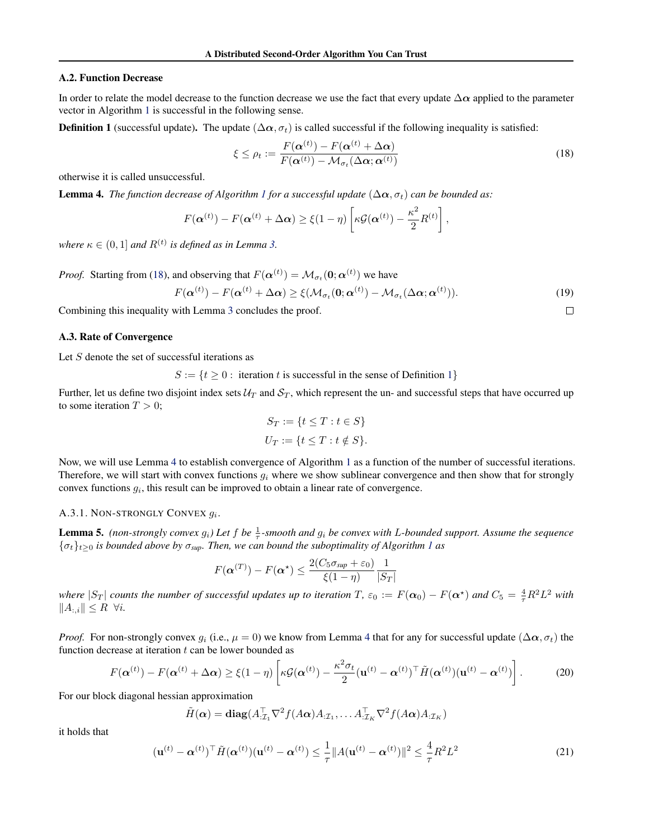## <span id="page-12-0"></span>A.2. Function Decrease

In order to relate the model decrease to the function decrease we use the fact that every update  $\Delta \alpha$  applied to the parameter vector in Algorithm [1](#page-3-0) is successful in the following sense.

**Definition 1** (successful update). The update  $(\Delta \alpha, \sigma_t)$  is called successful if the following inequality is satisfied:

$$
\xi \le \rho_t := \frac{F(\boldsymbol{\alpha}^{(t)}) - F(\boldsymbol{\alpha}^{(t)} + \Delta \boldsymbol{\alpha})}{F(\boldsymbol{\alpha}^{(t)}) - \mathcal{M}_{\sigma_t}(\Delta \boldsymbol{\alpha}; \boldsymbol{\alpha}^{(t)})}
$$
(18)

otherwise it is called unsuccessful.

**Lemma 4.** *The function decrease of Algorithm [1](#page-3-0) for a successful update*  $(\Delta \alpha, \sigma_t)$  *can be bounded as:* 

$$
F(\boldsymbol{\alpha}^{(t)}) - F(\boldsymbol{\alpha}^{(t)} + \Delta \boldsymbol{\alpha}) \geq \xi(1-\eta) \left[ \kappa \mathcal{G}(\boldsymbol{\alpha}^{(t)}) - \frac{\kappa^2}{2} R^{(t)} \right],
$$

where  $\kappa \in (0,1]$  and  $R^{(t)}$  is defined as in Lemma [3.](#page-4-0)

*Proof.* Starting from (18), and observing that  $F(\alpha^{(t)}) = \mathcal{M}_{\sigma_t}(0; \alpha^{(t)})$  we have

$$
F(\boldsymbol{\alpha}^{(t)}) - F(\boldsymbol{\alpha}^{(t)} + \Delta \boldsymbol{\alpha}) \geq \xi(\mathcal{M}_{\sigma_t}(\mathbf{0}; \boldsymbol{\alpha}^{(t)}) - \mathcal{M}_{\sigma_t}(\Delta \boldsymbol{\alpha}; \boldsymbol{\alpha}^{(t)})).
$$
\n(19)

 $\Box$ 

Combining this inequality with Lemma [3](#page-4-0) concludes the proof.

## A.3. Rate of Convergence

Let  $S$  denote the set of successful iterations as

 $S := \{t \geq 0 : \text{ iteration } t \text{ is successful in the sense of Definition 1}\}\$ 

Further, let us define two disjoint index sets  $\mathcal{U}_T$  and  $\mathcal{S}_T$ , which represent the un- and successful steps that have occurred up to some iteration  $T > 0$ ;

$$
S_T := \{ t \le T : t \in S \}
$$
  

$$
U_T := \{ t \le T : t \notin S \}.
$$

Now, we will use Lemma [4](#page-4-0) to establish convergence of Algorithm [1](#page-3-0) as a function of the number of successful iterations. Therefore, we will start with convex functions  $q_i$  where we show sublinear convergence and then show that for strongly convex functions  $g_i$ , this result can be improved to obtain a linear rate of convergence.

# A.3.1. NON-STRONGLY CONVEX  $g_i$ .

**Lemma 5.** (non-strongly convex  $g_i$ ) Let  $f$  be  $\frac{1}{\tau}$ -smooth and  $g_i$  be convex with L-bounded support. Assume the sequence  ${\{\sigma_t\}_{t\geq0}}$  *is bounded above by*  $\sigma_{\text{sup}}$ *. Then, we can bound the suboptimality of Algorithm [1](#page-3-0) as* 

$$
F(\boldsymbol{\alpha}^{(T)}) - F(\boldsymbol{\alpha}^{\star}) \le \frac{2(C_5 \sigma_{\text{sup}} + \varepsilon_0)}{\xi(1-\eta)} \frac{1}{|S_T|}
$$

*where*  $|S_T|$  *counts the number of successful updates up to iteration* T,  $\varepsilon_0 := F(\alpha_0) - F(\alpha^*)$  and  $C_5 = \frac{4}{\tau}R^2L^2$  with  $||A_{:,i}|| \leq R \ \forall i.$ 

*Proof.* For non-strongly convex  $g_i$  (i.e.,  $\mu = 0$ ) we know from Lemma [4](#page-4-0) that for any for successful update ( $\Delta \alpha$ ,  $\sigma_t$ ) the function decrease at iteration  $t$  can be lower bounded as

$$
F(\boldsymbol{\alpha}^{(t)}) - F(\boldsymbol{\alpha}^{(t)} + \Delta \boldsymbol{\alpha}) \ge \xi(1-\eta) \left[ \kappa \mathcal{G}(\boldsymbol{\alpha}^{(t)}) - \frac{\kappa^2 \sigma_t}{2} (\mathbf{u}^{(t)} - \boldsymbol{\alpha}^{(t)})^\top \tilde{H}(\boldsymbol{\alpha}^{(t)}) (\mathbf{u}^{(t)} - \boldsymbol{\alpha}^{(t)}) \right].
$$
 (20)

For our block diagonal hessian approximation

$$
\tilde{H}(\boldsymbol{\alpha}) = \mathbf{diag}(A_{\cdot \mathcal{I}_1}^{\top} \nabla^2 f(A\boldsymbol{\alpha}) A_{\cdot \mathcal{I}_1}, \dots A_{\cdot \mathcal{I}_K}^{\top} \nabla^2 f(A\boldsymbol{\alpha}) A_{\cdot \mathcal{I}_K})
$$

it holds that

$$
(\mathbf{u}^{(t)} - \alpha^{(t)})^{\top} \tilde{H}(\alpha^{(t)}) (\mathbf{u}^{(t)} - \alpha^{(t)}) \le \frac{1}{\tau} \|A(\mathbf{u}^{(t)} - \alpha^{(t)})\|^2 \le \frac{4}{\tau} R^2 L^2
$$
\n(21)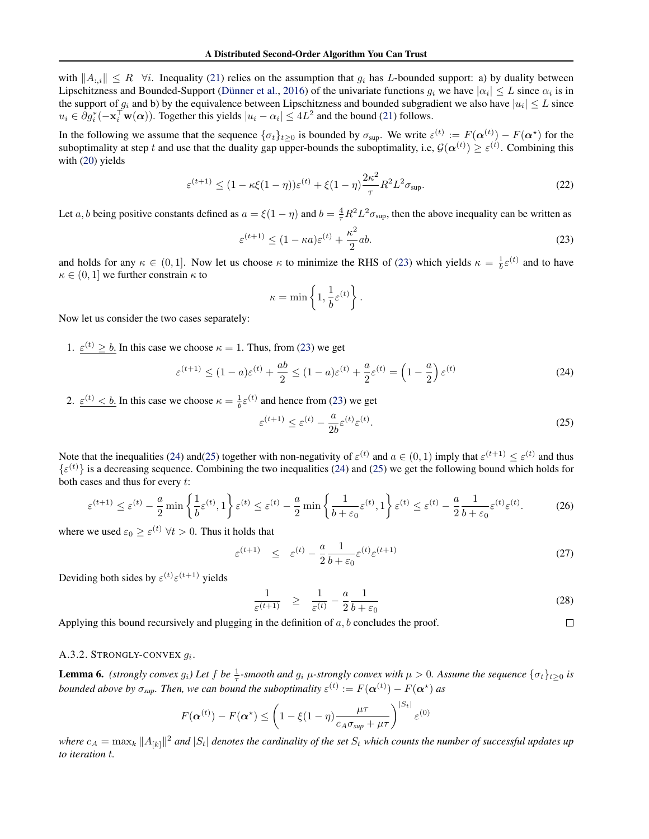<span id="page-13-0"></span>with  $||A_{:,i}|| \leq R \quad \forall i$ . Inequality [\(21\)](#page-12-0) relies on the assumption that  $g_i$  has L-bounded support: a) by duality between Lipschitzness and Bounded-Support [\(Dünner et al.,](#page-8-0) [2016\)](#page-8-0) of the univariate functions  $g_i$  we have  $|\alpha_i| \le L$  since  $\alpha_i$  is in the support of  $g_i$  and b) by the equivalence between Lipschitzness and bounded subgradient we also have  $|u_i| \leq L$  since  $u_i \in \partial g_i^*(-\mathbf{x}_i^{\top}\mathbf{w}(\alpha))$ . Together this yields  $|u_i - \alpha_i| \leq 4L^2$  and the bound [\(21\)](#page-12-0) follows.

In the following we assume that the sequence  $\{\sigma_t\}_{t\geq 0}$  is bounded by  $\sigma_{\text{sup}}$ . We write  $\varepsilon^{(t)} := F(\boldsymbol{\alpha}^{(t)}) - F(\boldsymbol{\alpha}^*)$  for the suboptimality at step t and use that the duality gap upper-bounds the suboptimality, i.e,  $\mathcal{G}(\alpha^{(t)}) \geq \varepsilon^{(t)}$ . Combining this with [\(20\)](#page-12-0) yields

$$
\varepsilon^{(t+1)} \le (1 - \kappa \xi (1 - \eta)) \varepsilon^{(t)} + \xi (1 - \eta) \frac{2\kappa^2}{\tau} R^2 L^2 \sigma_{\text{sup}}.
$$
 (22)

Let a, b being positive constants defined as  $a = \xi(1-\eta)$  and  $b = \frac{4}{\tau}R^2L^2\sigma_{\text{sup}}$ , then the above inequality can be written as

$$
\varepsilon^{(t+1)} \le (1 - \kappa a)\varepsilon^{(t)} + \frac{\kappa^2}{2}ab. \tag{23}
$$

and holds for any  $\kappa \in (0, 1]$ . Now let us choose  $\kappa$  to minimize the RHS of (23) which yields  $\kappa = \frac{1}{b} \varepsilon^{(t)}$  and to have  $\kappa \in (0, 1]$  we further constrain  $\kappa$  to

$$
\kappa = \min \left\{ 1, \frac{1}{b} \varepsilon^{(t)} \right\}.
$$

Now let us consider the two cases separately:

1.  $\varepsilon^{(t)} \geq b$ . In this case we choose  $\kappa = 1$ . Thus, from (23) we get

$$
\varepsilon^{(t+1)} \le (1-a)\varepsilon^{(t)} + \frac{ab}{2} \le (1-a)\varepsilon^{(t)} + \frac{a}{2}\varepsilon^{(t)} = \left(1 - \frac{a}{2}\right)\varepsilon^{(t)}
$$
(24)

2.  $\varepsilon^{(t)} < b$ . In this case we choose  $\kappa = \frac{1}{b} \varepsilon^{(t)}$  and hence from (23) we get

$$
\varepsilon^{(t+1)} \le \varepsilon^{(t)} - \frac{a}{2b} \varepsilon^{(t)} \varepsilon^{(t)}.\tag{25}
$$

Note that the inequalities (24) and(25) together with non-negativity of  $\varepsilon^{(t)}$  and  $a \in (0,1)$  imply that  $\varepsilon^{(t+1)} \leq \varepsilon^{(t)}$  and thus  $\{\varepsilon^{(t)}\}$  is a decreasing sequence. Combining the two inequalities (24) and (25) we get the following bound which holds for both cases and thus for every t:

$$
\varepsilon^{(t+1)} \le \varepsilon^{(t)} - \frac{a}{2} \min \left\{ \frac{1}{b} \varepsilon^{(t)}, 1 \right\} \varepsilon^{(t)} \le \varepsilon^{(t)} - \frac{a}{2} \min \left\{ \frac{1}{b + \varepsilon_0} \varepsilon^{(t)}, 1 \right\} \varepsilon^{(t)} \le \varepsilon^{(t)} - \frac{a}{2} \frac{1}{b + \varepsilon_0} \varepsilon^{(t)} \varepsilon^{(t)}.
$$
 (26)

where we used  $\varepsilon_0 \geq \varepsilon^{(t)} \ \forall t > 0$ . Thus it holds that

$$
\varepsilon^{(t+1)} \leq \varepsilon^{(t)} - \frac{a}{2} \frac{1}{b + \varepsilon_0} \varepsilon^{(t)} \varepsilon^{(t+1)} \tag{27}
$$

Deviding both sides by  $\varepsilon^{(t)} \varepsilon^{(t+1)}$  yields

$$
\frac{1}{\varepsilon^{(t+1)}} \quad \geq \quad \frac{1}{\varepsilon^{(t)}} - \frac{a}{2} \frac{1}{b + \varepsilon_0} \tag{28}
$$

 $\Box$ 

Applying this bound recursively and plugging in the definition of  $a, b$  concludes the proof.

# A.3.2. STRONGLY-CONVEX  $g_i$ .

**Lemma 6.** *(strongly convex g<sub>i</sub>) Let*  $f$  *be*  $\frac{1}{\tau}$ -smooth and  $g_i$   $\mu$ -strongly convex with  $\mu > 0$ . Assume the sequence  $\{\sigma_t\}_{t \geq 0}$  *is bounded above by*  $\sigma_{sup}$ . Then, we can bound the suboptimality  $\varepsilon^{(t)} := F(\boldsymbol{\alpha}^{(t)}) - F(\boldsymbol{\alpha}^{\star})$  as

$$
F(\boldsymbol{\alpha}^{(t)}) - F(\boldsymbol{\alpha}^{\star}) \leq \left(1 - \xi(1-\eta)\frac{\mu\tau}{c_A \sigma_{\text{sup}} + \mu\tau}\right)^{|S_t|} \varepsilon^{(0)}
$$

where  $c_A = \max_k \|A_{[k]}\|^2$  and  $|S_t|$  denotes the cardinality of the set  $S_t$  which counts the number of successful updates up *to iteration* t*.*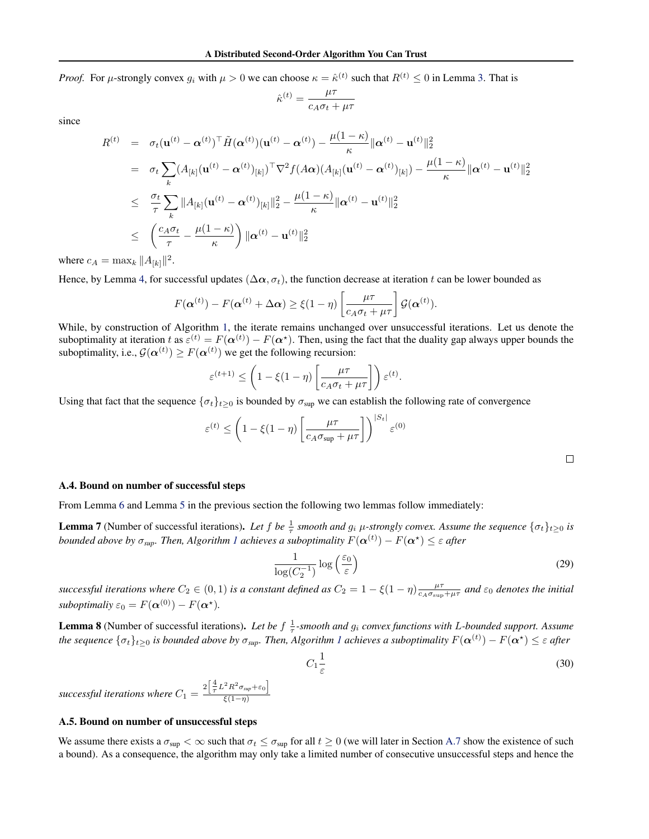<span id="page-14-0"></span>*Proof.* For  $\mu$ -strongly convex  $g_i$  with  $\mu > 0$  we can choose  $\kappa = \hat{\kappa}^{(t)}$  such that  $R^{(t)} \le 0$  in Lemma [3.](#page-4-0) That is

$$
\hat{\kappa}^{(t)} = \frac{\mu \tau}{c_A \sigma_t + \mu \tau}
$$

since

$$
R^{(t)} = \sigma_t(\mathbf{u}^{(t)} - \alpha^{(t)})^\top \tilde{H}(\alpha^{(t)}) (\mathbf{u}^{(t)} - \alpha^{(t)}) - \frac{\mu(1 - \kappa)}{\kappa} ||\alpha^{(t)} - \mathbf{u}^{(t)}||_2^2
$$
  
\n
$$
= \sigma_t \sum_k (A_{[k]}(\mathbf{u}^{(t)} - \alpha^{(t)})_{[k]})^\top \nabla^2 f(A\alpha) (A_{[k]}(\mathbf{u}^{(t)} - \alpha^{(t)})_{[k]}) - \frac{\mu(1 - \kappa)}{\kappa} ||\alpha^{(t)} - \mathbf{u}^{(t)}||_2^2
$$
  
\n
$$
\leq \frac{\sigma_t}{\tau} \sum_k ||A_{[k]}(\mathbf{u}^{(t)} - \alpha^{(t)})_{[k]}||_2^2 - \frac{\mu(1 - \kappa)}{\kappa} ||\alpha^{(t)} - \mathbf{u}^{(t)}||_2^2
$$
  
\n
$$
\leq \left(\frac{c_A \sigma_t}{\tau} - \frac{\mu(1 - \kappa)}{\kappa}\right) ||\alpha^{(t)} - \mathbf{u}^{(t)}||_2^2
$$

where  $c_A = \max_k ||A_{[k]}||^2$ .

Hence, by Lemma [4,](#page-4-0) for successful updates ( $\Delta \alpha$ ,  $\sigma_t$ ), the function decrease at iteration t can be lower bounded as

$$
F(\boldsymbol{\alpha}^{(t)}) - F(\boldsymbol{\alpha}^{(t)} + \Delta \boldsymbol{\alpha}) \geq \xi(1-\eta) \left[ \frac{\mu\tau}{c_A \sigma_t + \mu\tau} \right] \mathcal{G}(\boldsymbol{\alpha}^{(t)}).
$$

While, by construction of Algorithm [1,](#page-3-0) the iterate remains unchanged over unsuccessful iterations. Let us denote the suboptimality at iteration t as  $\varepsilon^{(t)} = F(\alpha^{(t)}) - F(\alpha^*)$ . Then, using the fact that the duality gap always upper bounds the suboptimality, i.e.,  $\mathcal{G}(\boldsymbol{\alpha}^{(t)}) \geq F(\boldsymbol{\alpha}^{(t)})$  we get the following recursion:

$$
\varepsilon^{(t+1)} \le \left(1 - \xi(1-\eta)\left[\frac{\mu\tau}{c_A\sigma_t + \mu\tau}\right]\right)\varepsilon^{(t)}.
$$

Using that fact that the sequence  $\{\sigma_t\}_{t\geq 0}$  is bounded by  $\sigma_{\text{sup}}$  we can establish the following rate of convergence

$$
\varepsilon^{(t)} \le \left(1 - \xi(1 - \eta) \left[\frac{\mu\tau}{c_A \sigma_{\text{sup}} + \mu\tau}\right]\right)^{|S_t|} \varepsilon^{(0)}
$$

 $\Box$ 

#### A.4. Bound on number of successful steps

From Lemma [6](#page-13-0) and Lemma [5](#page-12-0) in the previous section the following two lemmas follow immediately:

**Lemma 7** (Number of successful iterations). Let f be  $\frac{1}{\tau}$  smooth and  $g_i$   $\mu$ -strongly convex. Assume the sequence  $\{\sigma_t\}_{t\geq 0}$  is *bounded above by*  $\sigma_{sup}$ *. Then, Algorithm [1](#page-3-0) achieves a suboptimality*  $F(\bm{\alpha}^{(t)}) - F(\bm{\alpha}^\star) \leq \varepsilon$  *after* 

$$
\frac{1}{\log(C_2^{-1})} \log\left(\frac{\varepsilon_0}{\varepsilon}\right) \tag{29}
$$

*successful iterations where*  $C_2 \in (0,1)$  *is a constant defined as*  $C_2 = 1 - \xi(1-\eta)\frac{\mu\tau}{c_A\sigma_{\text{sup}}+\mu\tau}$  and  $\varepsilon_0$  denotes the initial *suboptimaliy*  $\varepsilon_0 = F(\boldsymbol{\alpha}^{(0)}) - F(\boldsymbol{\alpha}^*)$ .

**Lemma 8** (Number of successful iterations). Let be  $f \frac{1}{\tau}$ -smooth and  $g_i$  convex functions with L-bounded support. Assume *the sequence*  $\{\sigma_t\}_{t\geq0}$  is bounded above by  $\sigma_{sup}$ . Then, Algorithm [1](#page-3-0) achieves a suboptimality  $F(\bm{\alpha}^{(t)})-F(\bm{\alpha}^\star)\leq\varepsilon$  after

$$
C_1 \frac{1}{\varepsilon} \tag{30}
$$

*successful iterations where*  $C_1 = \frac{2\left[\frac{4}{\tau}L^2R^2\sigma_{sup}+\varepsilon_0\right]}{\varepsilon(1-n)}$  $\xi(1-\eta)$ 

#### A.5. Bound on number of unsuccessful steps

We assume there exists a  $\sigma_{\text{sup}} < \infty$  such that  $\sigma_t \leq \sigma_{\text{sup}}$  for all  $t \geq 0$  (we will later in Section [A.7](#page-16-0) show the existence of such a bound). As a consequence, the algorithm may only take a limited number of consecutive unsuccessful steps and hence the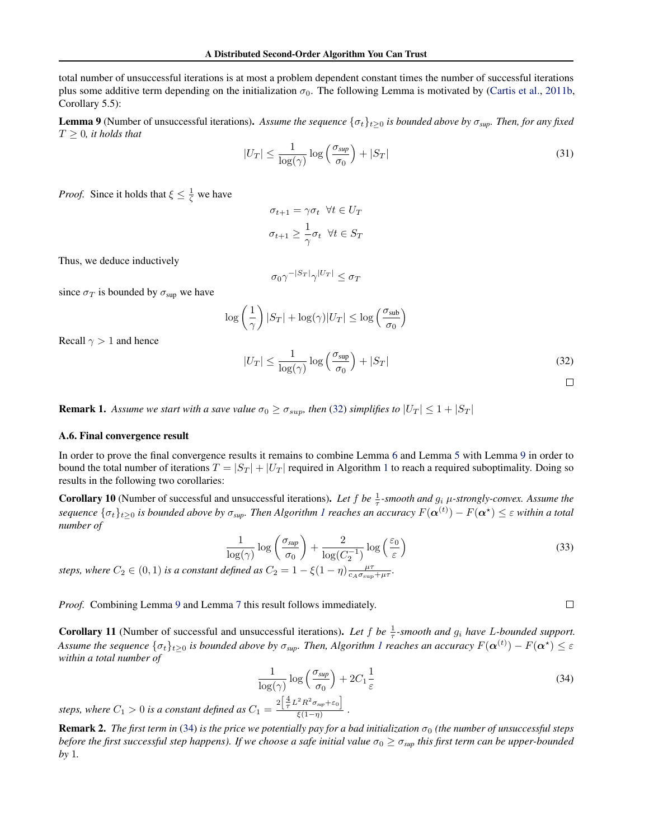total number of unsuccessful iterations is at most a problem dependent constant times the number of successful iterations plus some additive term depending on the initialization  $\sigma_0$ . The following Lemma is motivated by [\(Cartis et al.,](#page-8-0) [2011b,](#page-8-0) Corollary 5.5):

**Lemma 9** (Number of unsuccessful iterations). Assume the sequence  $\{\sigma_t\}_{t>0}$  is bounded above by  $\sigma_{\text{sup}}$ . Then, for any fixed  $T \geq 0$ , *it holds that* 

$$
|U_T| \le \frac{1}{\log(\gamma)} \log\left(\frac{\sigma_{\sup}}{\sigma_0}\right) + |S_T| \tag{31}
$$

*Proof.* Since it holds that  $\xi \leq \frac{1}{\zeta}$  we have

$$
\sigma_{t+1} = \gamma \sigma_t \ \ \forall t \in U_T
$$

$$
\sigma_{t+1} \ge \frac{1}{\gamma} \sigma_t \ \ \forall t \in S_T
$$

Thus, we deduce inductively

$$
\sigma_0\gamma^{-|S_T|}\gamma^{|U_T|}\leq \sigma_T
$$

since  $\sigma_T$  is bounded by  $\sigma_{\text{sup}}$  we have

$$
\log\left(\frac{1}{\gamma}\right)|S_T| + \log(\gamma)|U_T| \le \log\left(\frac{\sigma_{\text{sub}}}{\sigma_0}\right)
$$

Recall  $\gamma > 1$  and hence

$$
|U_T| \le \frac{1}{\log(\gamma)} \log\left(\frac{\sigma_{\sup}}{\sigma_0}\right) + |S_T| \tag{32}
$$

**Remark 1.** Assume we start with a save value  $\sigma_0 \ge \sigma_{sup}$ , then (32) simplifies to  $|U_T| \le 1 + |S_T|$ 

## A.6. Final convergence result

In order to prove the final convergence results it remains to combine Lemma [6](#page-13-0) and Lemma [5](#page-12-0) with Lemma 9 in order to bound the total number of iterations  $T = |S_T| + |U_T|$  required in Algorithm [1](#page-3-0) to reach a required suboptimality. Doing so results in the following two corollaries:

**Corollary 10** (Number of successful and unsuccessful iterations). Let f be  $\frac{1}{\tau}$ -smooth and  $g_i$   $\mu$ -strongly-convex. Assume the  $s$ equence  $\{\sigma_t\}_{t\geq0}$  is bounded above by  $\sigma_{sup}$ . Then Algorithm [1](#page-3-0) reaches an accuracy  $F(\bm{\alpha}^{(t)})-F(\bm{\alpha}^\star)\leq\varepsilon$  within a total *number of*

$$
\frac{1}{\log(\gamma)} \log \left( \frac{\sigma_{\sup}}{\sigma_0} \right) + \frac{2}{\log(C_2^{-1})} \log \left( \frac{\varepsilon_0}{\varepsilon} \right) \tag{33}
$$

*steps, where*  $C_2 \in (0,1)$  *is a constant defined as*  $C_2 = 1 - \xi(1-\eta) \frac{\mu \tau}{c_A \sigma_{\text{sup}} + \mu \tau}$ .

*Proof.* Combining Lemma 9 and Lemma [7](#page-14-0) this result follows immediately.

**Corollary 11** (Number of successful and unsuccessful iterations). Let f be  $\frac{1}{\tau}$ -smooth and  $g_i$  have L-bounded support. Assume the sequence  $\{\sigma_t\}_{t\geq0}$  is bounded above by  $\sigma_{sup}$ . Then, Algorithm [1](#page-3-0) reaches an accuracy  $F(\bm{\alpha}^{(t)})-F(\bm{\alpha^\star})\leq\varepsilon$ *within a total number of*

$$
\frac{1}{\log(\gamma)} \log\left(\frac{\sigma_{\text{sup}}}{\sigma_0}\right) + 2C_1 \frac{1}{\varepsilon} \tag{34}
$$

steps, where  $C_1 > 0$  is a constant defined as  $C_1 = \frac{2\left[\frac{4}{\tau}L^2R^2\sigma_{sup} + \varepsilon_0\right]}{\xi(1-n)}$  $\frac{1}{\xi(1-\eta)}$ .

**Remark 2.** *The first term in* (34) *is the price we potentially pay for a bad initialization*  $\sigma_0$  *(the number of unsuccessful steps before the first successful step happens). If we choose a safe initial value*  $\sigma_0 \ge \sigma_{sup}$  *this first term can be upper-bounded by* 1*.*

 $\Box$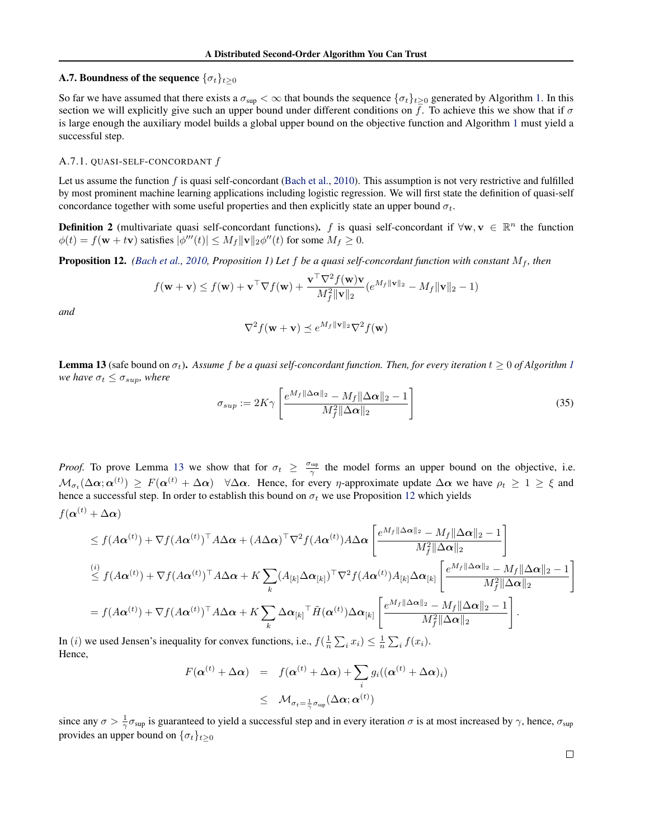# <span id="page-16-0"></span>A.7. Boundness of the sequence  $\{\sigma_t\}_{t\geq0}$

So far we have assumed that there exists a  $\sigma_{\text{sup}} < \infty$  that bounds the sequence  $\{\sigma_t\}_{t\geq 0}$  generated by Algorithm [1.](#page-3-0) In this section we will explicitly give such an upper bound under different conditions on f. To achieve this we show that if  $\sigma$ is large enough the auxiliary model builds a global upper bound on the objective function and Algorithm [1](#page-3-0) must yield a successful step.

#### A.7.1. QUASI-SELF-CONCORDANT  $f$

Let us assume the function  $f$  is quasi self-concordant [\(Bach et al.,](#page-8-0) [2010\)](#page-8-0). This assumption is not very restrictive and fulfilled by most prominent machine learning applications including logistic regression. We will first state the definition of quasi-self concordance together with some useful properties and then explicitly state an upper bound  $\sigma_t$ .

**Definition 2** (multivariate quasi self-concordant functions). f is quasi self-concordant if  $\forall w, v \in \mathbb{R}^n$  the function  $\phi(t) = f(\mathbf{w} + t\mathbf{v})$  satisfies  $|\phi'''(t)| \le M_f \|\mathbf{v}\|_2 \phi''(t)$  for some  $M_f \ge 0$ .

**Proposition 12.** *[\(Bach et al.,](#page-8-0) [2010,](#page-8-0) Proposition 1) Let*  $f$  *be a quasi self-concordant function with constant*  $M_f$ *, then* 

$$
f(\mathbf{w} + \mathbf{v}) \le f(\mathbf{w}) + \mathbf{v}^\top \nabla f(\mathbf{w}) + \frac{\mathbf{v}^\top \nabla^2 f(\mathbf{w}) \mathbf{v}}{M_f^2 \|\mathbf{v}\|_2} (e^{M_f \|\mathbf{v}\|_2} - M_f \|\mathbf{v}\|_2 - 1)
$$

*and*

$$
\nabla^2 f(\mathbf{w} + \mathbf{v}) \preceq e^{M_f \|\mathbf{v}\|_2} \nabla^2 f(\mathbf{w})
$$

**Lemma [1](#page-3-0)3** (safe bound on  $\sigma_t$ ). Assume f be a quasi self-concordant function. Then, for every iteration  $t \geq 0$  of Algorithm 1 *we have*  $\sigma_t \leq \sigma_{sup}$ *, where* 

$$
\sigma_{sup} := 2K\gamma \left[ \frac{e^{M_f \|\Delta \alpha\|_2} - M_f \|\Delta \alpha\|_2 - 1}{M_f^2 \|\Delta \alpha\|_2} \right]
$$
\n(35)

*Proof.* To prove Lemma 13 we show that for  $\sigma_t \geq \frac{\sigma_{\text{sup}}}{\gamma}$  the model forms an upper bound on the objective, i.e.  $\mathcal{M}_{\sigma_t}(\Delta \alpha; \alpha^{(t)}) \geq F(\alpha^{(t)} + \Delta \alpha)$   $\forall \Delta \alpha$ . Hence, for every *η*-approximate update  $\Delta \alpha$  we have  $\rho_t \geq 1 \geq \xi$  and hence a successful step. In order to establish this bound on  $\sigma_t$  we use Proposition 12 which yields

$$
f(\boldsymbol{\alpha}^{(t)} + \Delta \boldsymbol{\alpha})
$$

$$
\leq f(A\alpha^{(t)}) + \nabla f(A\alpha^{(t)})^{\top} A \Delta \alpha + (A \Delta \alpha)^{\top} \nabla^{2} f(A\alpha^{(t)}) A \Delta \alpha \left[ \frac{e^{M_{f} \|\Delta \alpha\|_{2}} - M_{f} \|\Delta \alpha\|_{2} - 1}{M_{f}^{2} \|\Delta \alpha\|_{2}} \right]
$$
\n
$$
\leq f(A\alpha^{(t)}) + \nabla f(A\alpha^{(t)})^{\top} A \Delta \alpha + K \sum_{k} (A_{[k]} \Delta \alpha_{[k]})^{\top} \nabla^{2} f(A\alpha^{(t)}) A_{[k]} \Delta \alpha_{[k]} \left[ \frac{e^{M_{f} \|\Delta \alpha\|_{2}} - M_{f} \|\Delta \alpha\|_{2} - 1}{M_{f}^{2} \|\Delta \alpha\|_{2}} \right]
$$
\n
$$
= f(A\alpha^{(t)}) + \nabla f(A\alpha^{(t)})^{\top} A \Delta \alpha + K \sum_{k} \Delta \alpha_{[k]}^{\top} \tilde{H}(\alpha^{(t)}) \Delta \alpha_{[k]} \left[ \frac{e^{M_{f} \|\Delta \alpha\|_{2}} - M_{f} \|\Delta \alpha\|_{2} - 1}{M_{f}^{2} \|\Delta \alpha\|_{2}} \right].
$$

In (*i*) we used Jensen's inequality for convex functions, i.e.,  $f(\frac{1}{n}\sum_i x_i) \leq \frac{1}{n}\sum_i f(x_i)$ . Hence,

$$
F(\boldsymbol{\alpha}^{(t)} + \Delta \boldsymbol{\alpha}) = f(\boldsymbol{\alpha}^{(t)} + \Delta \boldsymbol{\alpha}) + \sum_{i} g_i((\boldsymbol{\alpha}^{(t)} + \Delta \boldsymbol{\alpha})_i)
$$
  
 
$$
\leq \mathcal{M}_{\sigma_t = \frac{1}{\gamma} \sigma_{\sup}}(\Delta \boldsymbol{\alpha}; \boldsymbol{\alpha}^{(t)})
$$

since any  $\sigma > \frac{1}{\gamma} \sigma_{\text{sup}}$  is guaranteed to yield a successful step and in every iteration  $\sigma$  is at most increased by  $\gamma$ , hence,  $\sigma_{\text{sup}}$ provides an upper bound on  $\{\sigma_t\}_{t\geq 0}$ 

 $\Box$